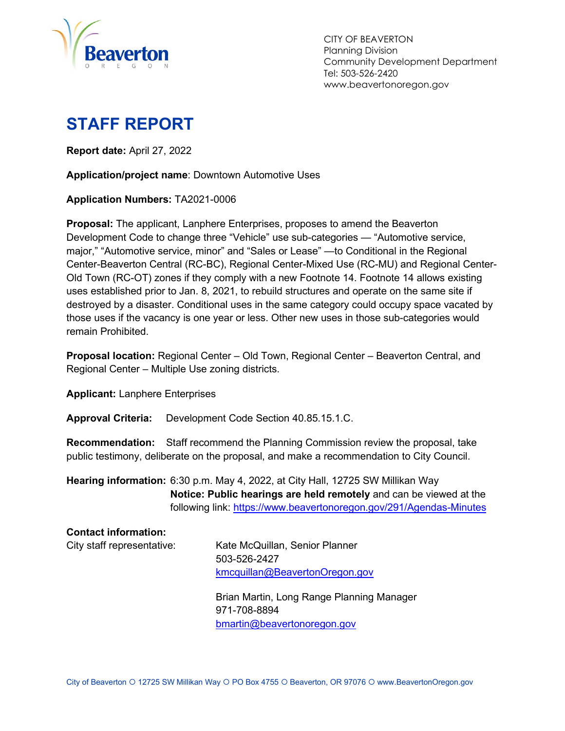

CITY OF BEAVERTON Planning Division Community Development Department Tel: 503-526-2420 www.beavertonoregon.gov

# <span id="page-0-0"></span>**STAFF REPORT**

**Report date:** April 27, 2022

**Application/project name**: Downtown Automotive Uses

**Application Numbers:** TA2021-0006

**Proposal:** The applicant, Lanphere Enterprises, proposes to amend the Beaverton Development Code to change three "Vehicle" use sub-categories — "Automotive service, major," "Automotive service, minor" and "Sales or Lease" —to Conditional in the Regional Center-Beaverton Central (RC-BC), Regional Center-Mixed Use (RC-MU) and Regional Center-Old Town (RC-OT) zones if they comply with a new Footnote 14. Footnote 14 allows existing uses established prior to Jan. 8, 2021, to rebuild structures and operate on the same site if destroyed by a disaster. Conditional uses in the same category could occupy space vacated by those uses if the vacancy is one year or less. Other new uses in those sub-categories would remain Prohibited.

**Proposal location:** Regional Center – Old Town, Regional Center – Beaverton Central, and Regional Center – Multiple Use zoning districts.

**Applicant:** Lanphere Enterprises

**Approval Criteria:** Development Code Section 40.85.15.1.C.

**Recommendation:** Staff recommend the Planning Commission review the proposal, take public testimony, deliberate on the proposal, and make a recommendation to City Council.

**Hearing information:** 6:30 p.m. May 4, 2022, at City Hall, 12725 SW Millikan Way **Notice: Public hearings are held remotely** and can be viewed at the following link:<https://www.beavertonoregon.gov/291/Agendas-Minutes>

| <b>Contact information:</b> |                                           |
|-----------------------------|-------------------------------------------|
| City staff representative:  | Kate McQuillan, Senior Planner            |
|                             | 503-526-2427                              |
|                             | kmcquillan@BeavertonOregon.gov            |
|                             | Brian Martin, Long Range Planning Manager |
|                             | 971-708-8894                              |
|                             | bmartin@beavertonoregon.gov               |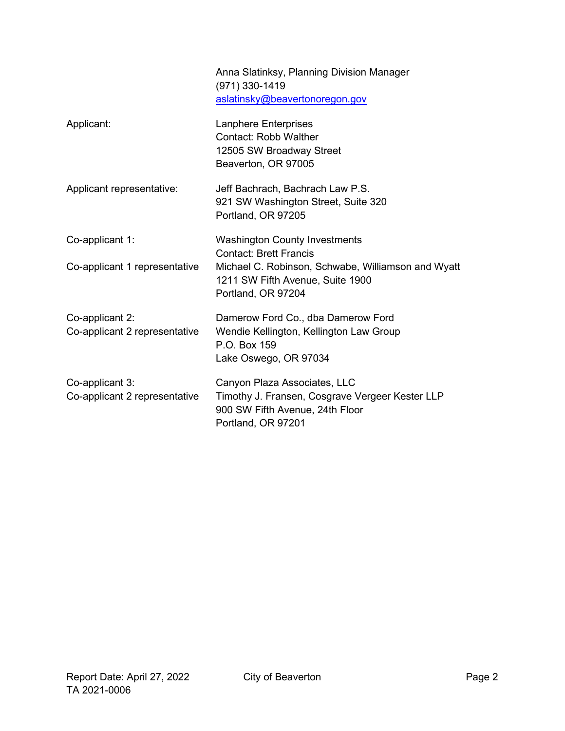|                                                  | Anna Slatinksy, Planning Division Manager<br>(971) 330-1419<br>aslatinsky@beavertonoregon.gov                                                                                         |
|--------------------------------------------------|---------------------------------------------------------------------------------------------------------------------------------------------------------------------------------------|
| Applicant:                                       | Lanphere Enterprises<br><b>Contact: Robb Walther</b><br>12505 SW Broadway Street<br>Beaverton, OR 97005                                                                               |
| Applicant representative:                        | Jeff Bachrach, Bachrach Law P.S.<br>921 SW Washington Street, Suite 320<br>Portland, OR 97205                                                                                         |
| Co-applicant 1:<br>Co-applicant 1 representative | <b>Washington County Investments</b><br><b>Contact: Brett Francis</b><br>Michael C. Robinson, Schwabe, Williamson and Wyatt<br>1211 SW Fifth Avenue, Suite 1900<br>Portland, OR 97204 |
| Co-applicant 2:<br>Co-applicant 2 representative | Damerow Ford Co., dba Damerow Ford<br>Wendie Kellington, Kellington Law Group<br>P.O. Box 159<br>Lake Oswego, OR 97034                                                                |
| Co-applicant 3:<br>Co-applicant 2 representative | Canyon Plaza Associates, LLC<br>Timothy J. Fransen, Cosgrave Vergeer Kester LLP<br>900 SW Fifth Avenue, 24th Floor<br>Portland, OR 97201                                              |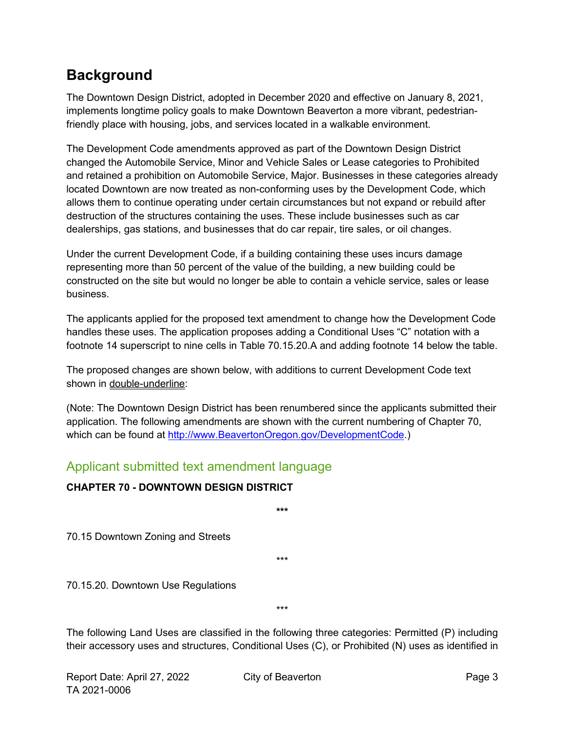## <span id="page-2-0"></span>**Background**

The Downtown Design District, adopted in December 2020 and effective on January 8, 2021, implements longtime policy goals to make Downtown Beaverton a more vibrant, pedestrianfriendly place with housing, jobs, and services located in a walkable environment.

The Development Code amendments approved as part of the Downtown Design District changed the Automobile Service, Minor and Vehicle Sales or Lease categories to Prohibited and retained a prohibition on Automobile Service, Major. Businesses in these categories already located Downtown are now treated as non-conforming uses by the Development Code, which allows them to continue operating under certain circumstances but not expand or rebuild after destruction of the structures containing the uses. These include businesses such as car dealerships, gas stations, and businesses that do car repair, tire sales, or oil changes.

Under the current Development Code, if a building containing these uses incurs damage representing more than 50 percent of the value of the building, a new building could be constructed on the site but would no longer be able to contain a vehicle service, sales or lease business.

The applicants applied for the proposed text amendment to change how the Development Code handles these uses. The application proposes adding a Conditional Uses "C" notation with a footnote 14 superscript to nine cells in Table 70.15.20.A and adding footnote 14 below the table.

The proposed changes are shown below, with additions to current Development Code text shown in double-underline:

(Note: The Downtown Design District has been renumbered since the applicants submitted their application. The following amendments are shown with the current numbering of Chapter 70, which can be found at [http://www.BeavertonOregon.gov/DevelopmentCode.](http://www.beavertonoregon.gov/DevelopmentCode))

**\*\*\***

\*\*\*

### Applicant submitted text amendment language

### **CHAPTER 70 - DOWNTOWN DESIGN DISTRICT**

70.15 Downtown Zoning and Streets

70.15.20. Downtown Use Regulations

\*\*\*

The following Land Uses are classified in the following three categories: Permitted (P) including their accessory uses and structures, Conditional Uses (C), or Prohibited (N) uses as identified in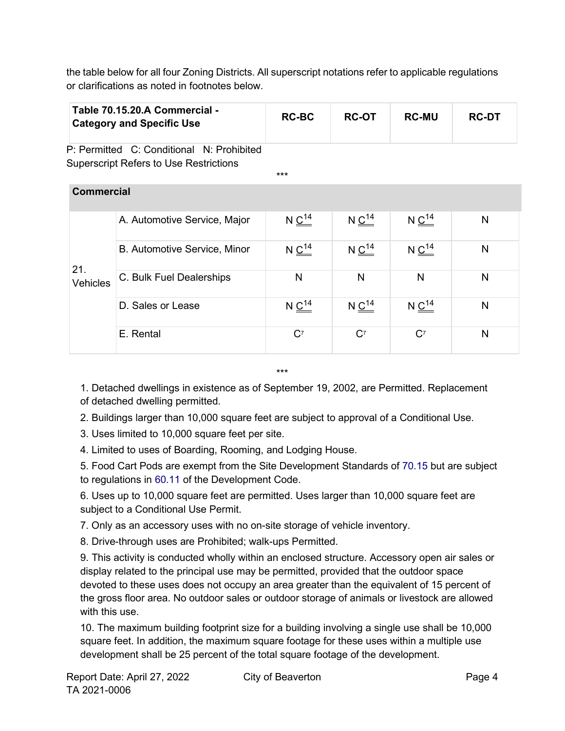the table below for all four Zoning Districts. All superscript notations refer to applicable regulations or clarifications as noted in footnotes below.

|                        | Table 70.15.20.A Commercial -<br><b>Category and Specific Use</b>                          | <b>RC-BC</b>           | <b>RC-OT</b>           | <b>RC-MU</b>           | <b>RC-DT</b> |
|------------------------|--------------------------------------------------------------------------------------------|------------------------|------------------------|------------------------|--------------|
|                        | P: Permitted C: Conditional N: Prohibited<br><b>Superscript Refers to Use Restrictions</b> | $***$                  |                        |                        |              |
| <b>Commercial</b>      |                                                                                            |                        |                        |                        |              |
| 21.<br><b>Vehicles</b> | A. Automotive Service, Major                                                               | N $\underline{C^{14}}$ | N $\underline{C^{14}}$ | N $\underline{C^{14}}$ | N            |
|                        | B. Automotive Service, Minor                                                               | $N \underline{C^{14}}$ | $N \frac{C^{14}}{C}$   | $N \frac{C^{14}}{C}$   | N            |
|                        | C. Bulk Fuel Dealerships                                                                   | N                      | N                      | N                      | N            |
|                        | D. Sales or Lease                                                                          | $N \underline{C^{14}}$ | $N \underline{C^{14}}$ | $N \frac{C^{14}}{C}$   | N            |
|                        | E. Rental                                                                                  | $C^7$                  | C <sup>7</sup>         | C <sup>7</sup>         | N            |

\*\*\*

1. Detached dwellings in existence as of September 19, 2002, are Permitted. Replacement of detached dwelling permitted.

2. Buildings larger than 10,000 square feet are subject to approval of a Conditional Use.

3. Uses limited to 10,000 square feet per site.

4. Limited to uses of Boarding, Rooming, and Lodging House.

5. Food Cart Pods are exempt from the Site Development Standards of 70.15 but are subject to regulations in 60.11 of the Development Code.

6. Uses up to 10,000 square feet are permitted. Uses larger than 10,000 square feet are subject to a Conditional Use Permit.

7. Only as an accessory uses with no on-site storage of vehicle inventory.

8. Drive-through uses are Prohibited; walk-ups Permitted.

9. This activity is conducted wholly within an enclosed structure. Accessory open air sales or display related to the principal use may be permitted, provided that the outdoor space devoted to these uses does not occupy an area greater than the equivalent of 15 percent of the gross floor area. No outdoor sales or outdoor storage of animals or livestock are allowed with this use.

10. The maximum building footprint size for a building involving a single use shall be 10,000 square feet. In addition, the maximum square footage for these uses within a multiple use development shall be 25 percent of the total square footage of the development.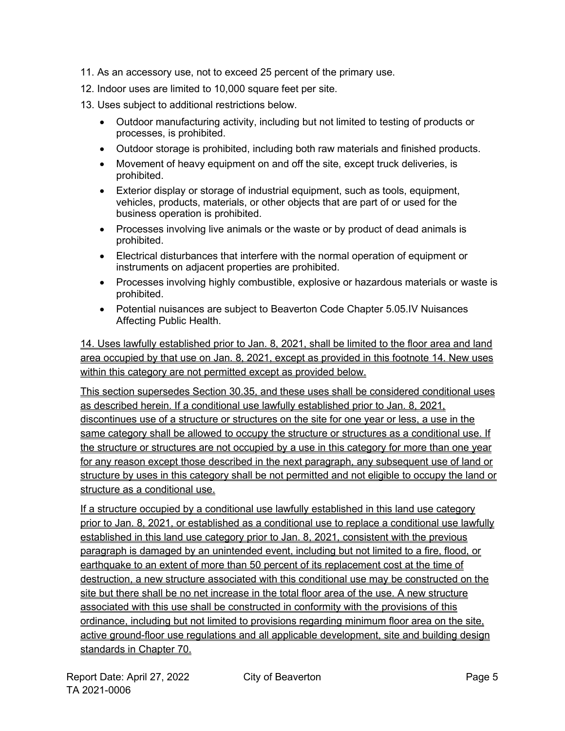- 11. As an accessory use, not to exceed 25 percent of the primary use.
- 12. Indoor uses are limited to 10,000 square feet per site.
- 13. Uses subject to additional restrictions below.
	- Outdoor manufacturing activity, including but not limited to testing of products or processes, is prohibited.
	- Outdoor storage is prohibited, including both raw materials and finished products.
	- Movement of heavy equipment on and off the site, except truck deliveries, is prohibited.
	- Exterior display or storage of industrial equipment, such as tools, equipment, vehicles, products, materials, or other objects that are part of or used for the business operation is prohibited.
	- Processes involving live animals or the waste or by product of dead animals is prohibited.
	- Electrical disturbances that interfere with the normal operation of equipment or instruments on adjacent properties are prohibited.
	- Processes involving highly combustible, explosive or hazardous materials or waste is prohibited.
	- Potential nuisances are subject to Beaverton Code Chapter 5.05.IV Nuisances Affecting Public Health.

14. Uses lawfully established prior to Jan. 8, 2021, shall be limited to the floor area and land area occupied by that use on Jan. 8, 2021, except as provided in this footnote 14. New uses within this category are not permitted except as provided below.

This section supersedes Section 30.35, and these uses shall be considered conditional uses as described herein. If a conditional use lawfully established prior to Jan. 8, 2021, discontinues use of a structure or structures on the site for one year or less, a use in the same category shall be allowed to occupy the structure or structures as a conditional use. If the structure or structures are not occupied by a use in this category for more than one year for any reason except those described in the next paragraph, any subsequent use of land or structure by uses in this category shall be not permitted and not eligible to occupy the land or structure as a conditional use.

If a structure occupied by a conditional use lawfully established in this land use category prior to Jan. 8, 2021, or established as a conditional use to replace a conditional use lawfully established in this land use category prior to Jan. 8, 2021, consistent with the previous paragraph is damaged by an unintended event, including but not limited to a fire, flood, or earthquake to an extent of more than 50 percent of its replacement cost at the time of destruction, a new structure associated with this conditional use may be constructed on the site but there shall be no net increase in the total floor area of the use. A new structure associated with this use shall be constructed in conformity with the provisions of this ordinance, including but not limited to provisions regarding minimum floor area on the site, active ground-floor use regulations and all applicable development, site and building design standards in Chapter 70.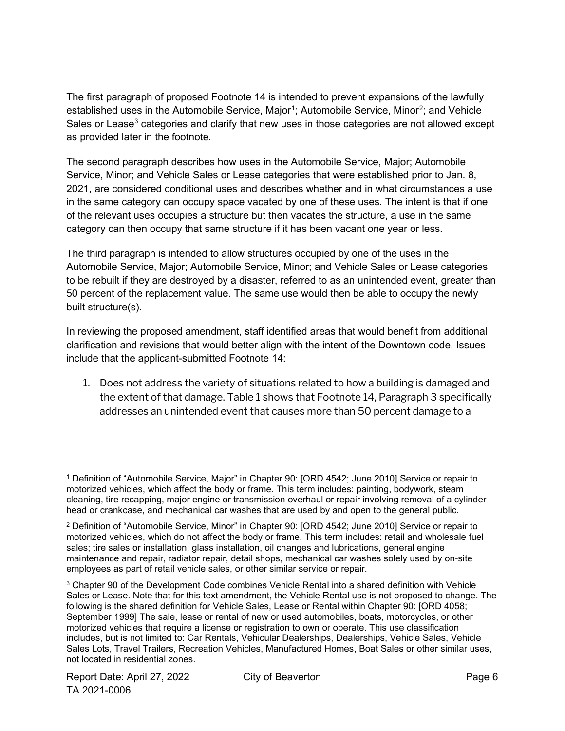The first paragraph of proposed Footnote 14 is intended to prevent expansions of the lawfully established uses in the Automobile Service, Major<sup>[1](#page-5-0)</sup>; Automobile Service, Minor<sup>[2](#page-5-1)</sup>; and Vehicle Sales or Lease<sup>[3](#page-5-2)</sup> categories and clarify that new uses in those categories are not allowed except as provided later in the footnote.

The second paragraph describes how uses in the Automobile Service, Major; Automobile Service, Minor; and Vehicle Sales or Lease categories that were established prior to Jan. 8, 2021, are considered conditional uses and describes whether and in what circumstances a use in the same category can occupy space vacated by one of these uses. The intent is that if one of the relevant uses occupies a structure but then vacates the structure, a use in the same category can then occupy that same structure if it has been vacant one year or less.

The third paragraph is intended to allow structures occupied by one of the uses in the Automobile Service, Major; Automobile Service, Minor; and Vehicle Sales or Lease categories to be rebuilt if they are destroyed by a disaster, referred to as an unintended event, greater than 50 percent of the replacement value. The same use would then be able to occupy the newly built structure(s).

In reviewing the proposed amendment, staff identified areas that would benefit from additional clarification and revisions that would better align with the intent of the Downtown code. Issues include that the applicant-submitted Footnote 14:

1. Does not address the variety of situations related to how a building is damaged and the extent of that damage. Table 1 shows that Footnote 14, Paragraph 3 specifically addresses an unintended event that causes more than 50 percent damage to a

<span id="page-5-0"></span><sup>1</sup> Definition of "Automobile Service, Major" in Chapter 90: [ORD 4542; June 2010] Service or repair to motorized vehicles, which affect the body or frame. This term includes: painting, bodywork, steam cleaning, tire recapping, major engine or transmission overhaul or repair involving removal of a cylinder head or crankcase, and mechanical car washes that are used by and open to the general public.

<span id="page-5-1"></span><sup>2</sup> Definition of "Automobile Service, Minor" in Chapter 90: [ORD 4542; June 2010] Service or repair to motorized vehicles, which do not affect the body or frame. This term includes: retail and wholesale fuel sales; tire sales or installation, glass installation, oil changes and lubrications, general engine maintenance and repair, radiator repair, detail shops, mechanical car washes solely used by on-site employees as part of retail vehicle sales, or other similar service or repair.

<span id="page-5-2"></span><sup>3</sup> Chapter 90 of the Development Code combines Vehicle Rental into a shared definition with Vehicle Sales or Lease. Note that for this text amendment, the Vehicle Rental use is not proposed to change. The following is the shared definition for Vehicle Sales, Lease or Rental within Chapter 90: [ORD 4058; September 1999] The sale, lease or rental of new or used automobiles, boats, motorcycles, or other motorized vehicles that require a license or registration to own or operate. This use classification includes, but is not limited to: Car Rentals, Vehicular Dealerships, Dealerships, Vehicle Sales, Vehicle Sales Lots, Travel Trailers, Recreation Vehicles, Manufactured Homes, Boat Sales or other similar uses, not located in residential zones.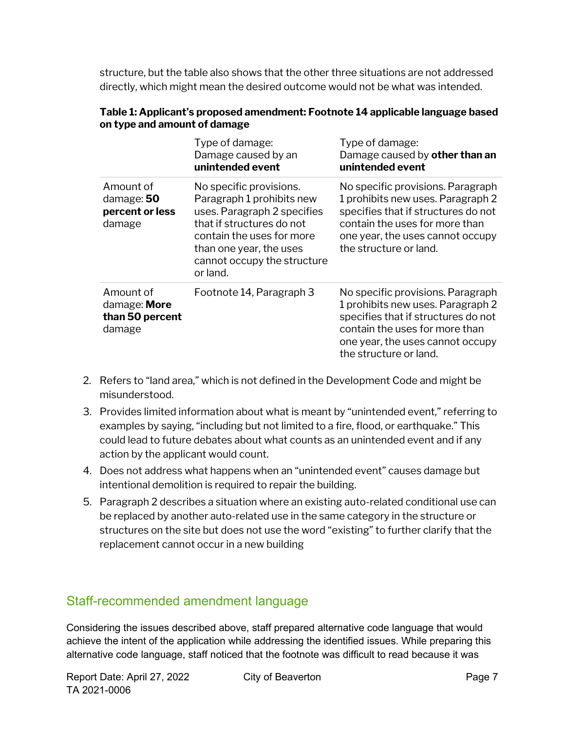structure, but the table also shows that the other three situations are not addressed directly, which might mean the desired outcome would not be what was intended.

|                                                        | Type of damage:<br>Damage caused by an<br>unintended event                                                                                                                                                          | Type of damage:<br>Damage caused by other than an<br>unintended event                                                                                                                                         |
|--------------------------------------------------------|---------------------------------------------------------------------------------------------------------------------------------------------------------------------------------------------------------------------|---------------------------------------------------------------------------------------------------------------------------------------------------------------------------------------------------------------|
| Amount of<br>damage: 50<br>percent or less<br>damage   | No specific provisions.<br>Paragraph 1 prohibits new<br>uses. Paragraph 2 specifies<br>that if structures do not<br>contain the uses for more<br>than one year, the uses<br>cannot occupy the structure<br>or land. | No specific provisions. Paragraph<br>1 prohibits new uses. Paragraph 2<br>specifies that if structures do not<br>contain the uses for more than<br>one year, the uses cannot occupy<br>the structure or land. |
| Amount of<br>damage: More<br>than 50 percent<br>damage | Footnote 14, Paragraph 3                                                                                                                                                                                            | No specific provisions. Paragraph<br>1 prohibits new uses. Paragraph 2<br>specifies that if structures do not<br>contain the uses for more than<br>one year, the uses cannot occupy<br>the structure or land. |

#### **Table 1: Applicant's proposed amendment: Footnote 14 applicable language based on type and amount of damage**

- 2. Refers to "land area," which is not defined in the Development Code and might be misunderstood.
- 3. Provides limited information about what is meant by "unintended event," referring to examples by saying, "including but not limited to a fire, flood, or earthquake." This could lead to future debates about what counts as an unintended event and if any action by the applicant would count.
- 4. Does not address what happens when an "unintended event" causes damage but intentional demolition is required to repair the building.
- 5. Paragraph 2 describes a situation where an existing auto-related conditional use can be replaced by another auto-related use in the same category in the structure or structures on the site but does not use the word "existing" to further clarify that the replacement cannot occur in a new building

### Staff-recommended amendment language

Considering the issues described above, staff prepared alternative code language that would achieve the intent of the application while addressing the identified issues. While preparing this alternative code language, staff noticed that the footnote was difficult to read because it was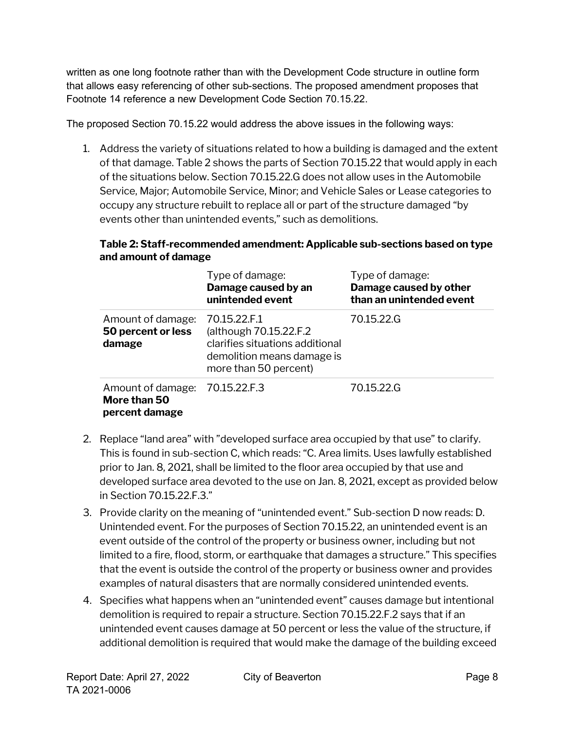written as one long footnote rather than with the Development Code structure in outline form that allows easy referencing of other sub-sections. The proposed amendment proposes that Footnote 14 reference a new Development Code Section 70.15.22.

The proposed Section 70.15.22 would address the above issues in the following ways:

1. Address the variety of situations related to how a building is damaged and the extent of that damage. Table 2 shows the parts of Section 70.15.22 that would apply in each of the situations below. Section 70.15.22.G does not allow uses in the Automobile Service, Major; Automobile Service, Minor; and Vehicle Sales or Lease categories to occupy any structure rebuilt to replace all or part of the structure damaged "by events other than unintended events," such as demolitions.

#### **Table 2: Staff-recommended amendment: Applicable sub-sections based on type and amount of damage**

|                                                     | Type of damage:<br>Damage caused by an<br>unintended event                                                                       | Type of damage:<br>Damage caused by other<br>than an unintended event |
|-----------------------------------------------------|----------------------------------------------------------------------------------------------------------------------------------|-----------------------------------------------------------------------|
| Amount of damage:<br>50 percent or less<br>damage   | 70.15.22.F.1<br>(although 70.15.22.F.2<br>clarifies situations additional<br>demolition means damage is<br>more than 50 percent) | 70.15.22.G                                                            |
| Amount of damage:<br>More than 50<br>percent damage | 70.15.22.F.3                                                                                                                     | 70.15.22.G                                                            |

- 2. Replace "land area" with "developed surface area occupied by that use" to clarify. This is found in sub-section C, which reads: "C. Area limits. Uses lawfully established prior to Jan. 8, 2021, shall be limited to the floor area occupied by that use and developed surface area devoted to the use on Jan. 8, 2021, except as provided below in Section 70.15.22.F.3."
- 3. Provide clarity on the meaning of "unintended event." Sub-section D now reads: D. Unintended event. For the purposes of Section 70.15.22, an unintended event is an event outside of the control of the property or business owner, including but not limited to a fire, flood, storm, or earthquake that damages a structure." This specifies that the event is outside the control of the property or business owner and provides examples of natural disasters that are normally considered unintended events.
- 4. Specifies what happens when an "unintended event" causes damage but intentional demolition is required to repair a structure. Section 70.15.22.F.2 says that if an unintended event causes damage at 50 percent or less the value of the structure, if additional demolition is required that would make the damage of the building exceed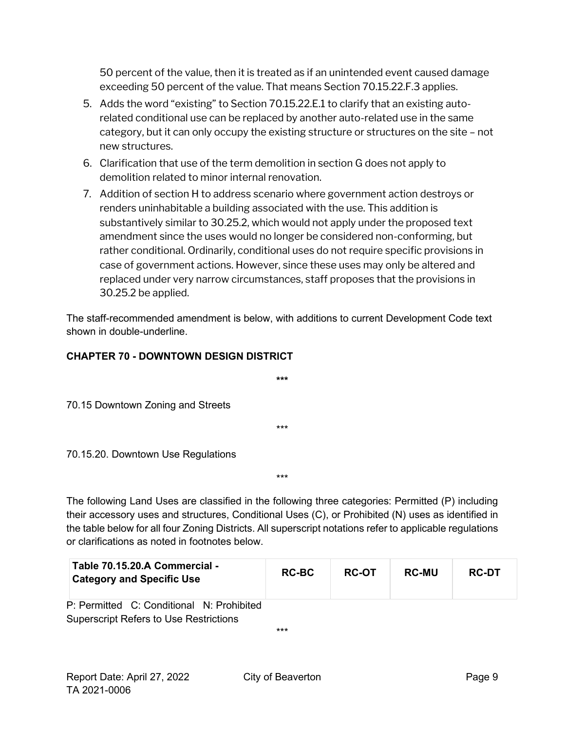50 percent of the value, then it is treated as if an unintended event caused damage exceeding 50 percent of the value. That means Section 70.15.22.F.3 applies.

- 5. Adds the word "existing" to Section 70.15.22.E.1 to clarify that an existing autorelated conditional use can be replaced by another auto-related use in the same category, but it can only occupy the existing structure or structures on the site – not new structures.
- 6. Clarification that use of the term demolition in section G does not apply to demolition related to minor internal renovation.
- 7. Addition of section H to address scenario where government action destroys or renders uninhabitable a building associated with the use. This addition is substantively similar to 30.25.2, which would not apply under the proposed text amendment since the uses would no longer be considered non-conforming, but rather conditional. Ordinarily, conditional uses do not require specific provisions in case of government actions. However, since these uses may only be altered and replaced under very narrow circumstances, staff proposes that the provisions in 30.25.2 be applied.

The staff-recommended amendment is below, with additions to current Development Code text shown in double-underline.

#### **CHAPTER 70 - DOWNTOWN DESIGN DISTRICT**

**\*\*\*** 70.15 Downtown Zoning and Streets \*\*\* 70.15.20. Downtown Use Regulations

The following Land Uses are classified in the following three categories: Permitted (P) including their accessory uses and structures, Conditional Uses (C), or Prohibited (N) uses as identified in the table below for all four Zoning Districts. All superscript notations refer to applicable regulations or clarifications as noted in footnotes below.

\*\*\*

| Table 70.15.20.A Commercial -<br><b>Category and Specific Use</b>                          | <b>RC-BC</b> | <b>RC-OT</b> | <b>RC-MU</b> | <b>RC-DT</b> |
|--------------------------------------------------------------------------------------------|--------------|--------------|--------------|--------------|
| P: Permitted C: Conditional N: Prohibited<br><b>Superscript Refers to Use Restrictions</b> |              |              |              |              |
|                                                                                            | $***$        |              |              |              |

Report Date: April 27, 2022 City of Beaverton Change 9 TA 2021-0006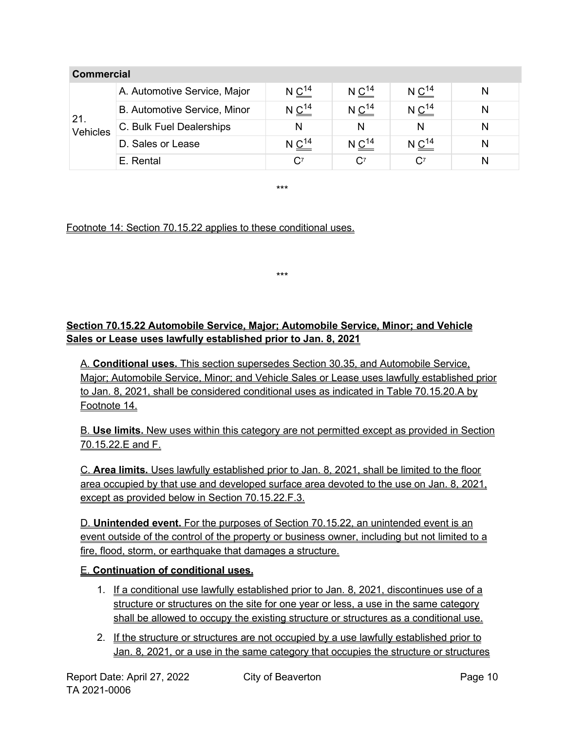| <b>Commercial</b> |                              |                        |                        |                          |   |
|-------------------|------------------------------|------------------------|------------------------|--------------------------|---|
| 21.<br>Vehicles   | A. Automotive Service, Major | N $C^{14}$             | $N C^{14}$             | $N \frac{C^{14}}{C}$     |   |
|                   | B. Automotive Service, Minor | $N \underline{C}^{14}$ | $N \underline{C}^{14}$ | $N \nightharpoonup^{14}$ |   |
|                   | C. Bulk Fuel Dealerships     | N                      | N                      | N                        |   |
|                   | D. Sales or Lease            | $N \frac{C^{14}}{C}$   | $N \frac{C^{14}}{C}$   | $N \frac{C^{14}}{C}$     |   |
|                   | E. Rental                    | C <sup>7</sup>         | $C^7$                  | $\mathbf{C}^7$           | N |

\*\*\*

\*\*\*

#### Footnote 14: Section 70.15.22 applies to these conditional uses.

#### **Section 70.15.22 Automobile Service, Major; Automobile Service, Minor; and Vehicle Sales or Lease uses lawfully established prior to Jan. 8, 2021**

A. **Conditional uses.** This section supersedes Section 30.35, and Automobile Service, Major; Automobile Service, Minor; and Vehicle Sales or Lease uses lawfully established prior to Jan. 8, 2021, shall be considered conditional uses as indicated in Table 70.15.20.A by Footnote 14.

B. **Use limits.** New uses within this category are not permitted except as provided in Section 70.15.22.E and F.

C. **Area limits.** Uses lawfully established prior to Jan. 8, 2021, shall be limited to the floor area occupied by that use and developed surface area devoted to the use on Jan. 8, 2021, except as provided below in Section 70.15.22.F.3.

D. **Unintended event.** For the purposes of Section 70.15.22, an unintended event is an event outside of the control of the property or business owner, including but not limited to a fire, flood, storm, or earthquake that damages a structure.

#### E. **Continuation of conditional uses.**

- 1. If a conditional use lawfully established prior to Jan. 8, 2021, discontinues use of a structure or structures on the site for one year or less, a use in the same category shall be allowed to occupy the existing structure or structures as a conditional use.
- 2. If the structure or structures are not occupied by a use lawfully established prior to Jan. 8, 2021, or a use in the same category that occupies the structure or structures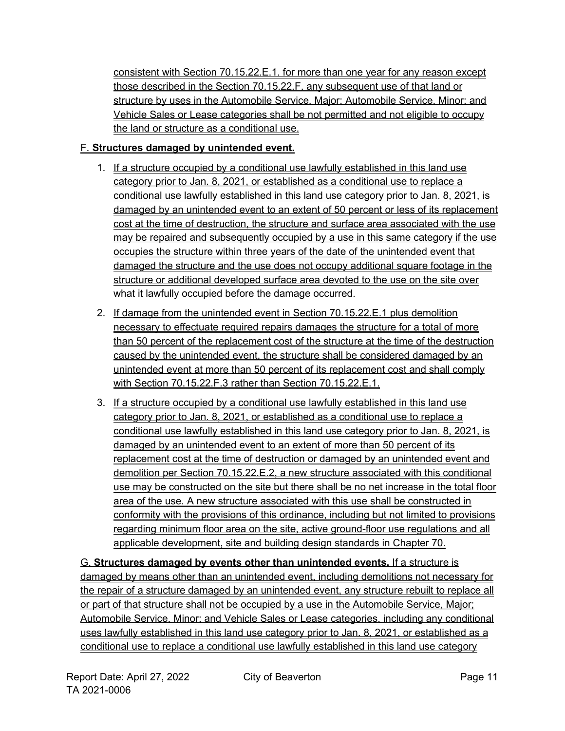consistent with Section 70.15.22.E.1. for more than one year for any reason except those described in the Section 70.15.22.F, any subsequent use of that land or structure by uses in the Automobile Service, Major; Automobile Service, Minor; and Vehicle Sales or Lease categories shall be not permitted and not eligible to occupy the land or structure as a conditional use.

#### F. **Structures damaged by unintended event.**

- 1. If a structure occupied by a conditional use lawfully established in this land use category prior to Jan. 8, 2021, or established as a conditional use to replace a conditional use lawfully established in this land use category prior to Jan. 8, 2021, is damaged by an unintended event to an extent of 50 percent or less of its replacement cost at the time of destruction, the structure and surface area associated with the use may be repaired and subsequently occupied by a use in this same category if the use occupies the structure within three years of the date of the unintended event that damaged the structure and the use does not occupy additional square footage in the structure or additional developed surface area devoted to the use on the site over what it lawfully occupied before the damage occurred.
- 2. If damage from the unintended event in Section 70.15.22.E.1 plus demolition necessary to effectuate required repairs damages the structure for a total of more than 50 percent of the replacement cost of the structure at the time of the destruction caused by the unintended event, the structure shall be considered damaged by an unintended event at more than 50 percent of its replacement cost and shall comply with Section 70.15.22. F.3 rather than Section 70.15.22. E.1.
- 3. If a structure occupied by a conditional use lawfully established in this land use category prior to Jan. 8, 2021, or established as a conditional use to replace a conditional use lawfully established in this land use category prior to Jan. 8, 2021, is damaged by an unintended event to an extent of more than 50 percent of its replacement cost at the time of destruction or damaged by an unintended event and demolition per Section 70.15.22.E.2, a new structure associated with this conditional use may be constructed on the site but there shall be no net increase in the total floor area of the use. A new structure associated with this use shall be constructed in conformity with the provisions of this ordinance, including but not limited to provisions regarding minimum floor area on the site, active ground-floor use regulations and all applicable development, site and building design standards in Chapter 70.

G. **Structures damaged by events other than unintended events.** If a structure is damaged by means other than an unintended event, including demolitions not necessary for the repair of a structure damaged by an unintended event, any structure rebuilt to replace all or part of that structure shall not be occupied by a use in the Automobile Service, Major; Automobile Service, Minor; and Vehicle Sales or Lease categories, including any conditional uses lawfully established in this land use category prior to Jan. 8, 2021, or established as a conditional use to replace a conditional use lawfully established in this land use category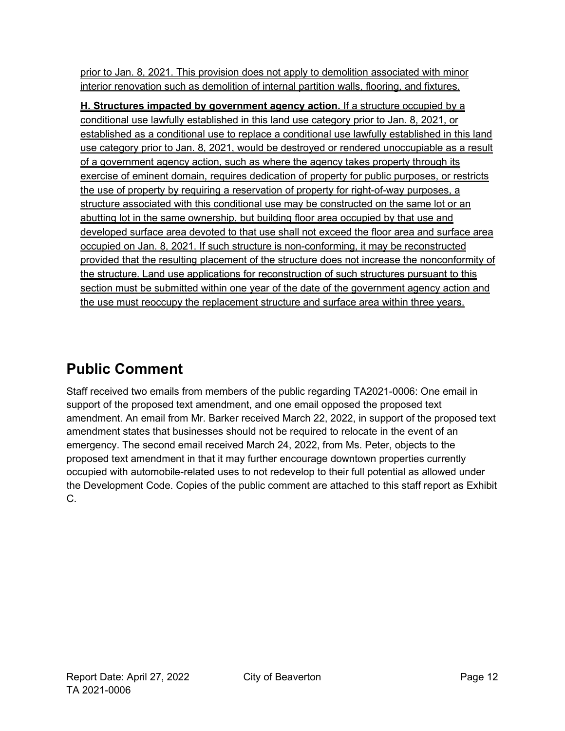prior to Jan. 8, 2021. This provision does not apply to demolition associated with minor interior renovation such as demolition of internal partition walls, flooring, and fixtures.

**H. Structures impacted by government agency action.** If a structure occupied by a conditional use lawfully established in this land use category prior to Jan. 8, 2021, or established as a conditional use to replace a conditional use lawfully established in this land use category prior to Jan. 8, 2021, would be destroyed or rendered unoccupiable as a result of a government agency action, such as where the agency takes property through its exercise of eminent domain, requires dedication of property for public purposes, or restricts the use of property by requiring a reservation of property for right-of-way purposes, a structure associated with this conditional use may be constructed on the same lot or an abutting lot in the same ownership, but building floor area occupied by that use and developed surface area devoted to that use shall not exceed the floor area and surface area occupied on Jan. 8, 2021. If such structure is non-conforming, it may be reconstructed provided that the resulting placement of the structure does not increase the nonconformity of the structure. Land use applications for reconstruction of such structures pursuant to this section must be submitted within one year of the date of the government agency action and the use must reoccupy the replacement structure and surface area within three years.

# <span id="page-11-0"></span>**Public Comment**

Staff received two emails from members of the public regarding TA2021-0006: One email in support of the proposed text amendment, and one email opposed the proposed text amendment. An email from Mr. Barker received March 22, 2022, in support of the proposed text amendment states that businesses should not be required to relocate in the event of an emergency. The second email received March 24, 2022, from Ms. Peter, objects to the proposed text amendment in that it may further encourage downtown properties currently occupied with automobile-related uses to not redevelop to their full potential as allowed under the Development Code. Copies of the public comment are attached to this staff report as Exhibit C.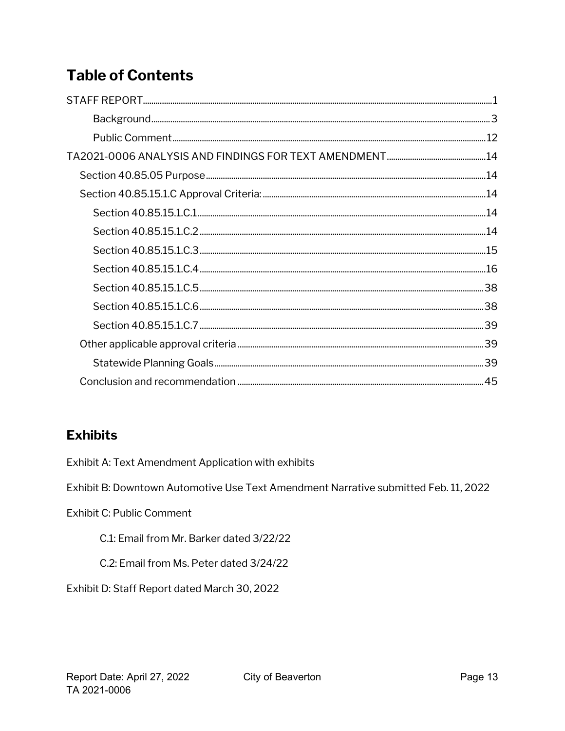# **Table of Contents**

### **Exhibits**

Exhibit A: Text Amendment Application with exhibits

Exhibit B: Downtown Automotive Use Text Amendment Narrative submitted Feb. 11, 2022

Exhibit C: Public Comment

C.1: Email from Mr. Barker dated 3/22/22

C.2: Email from Ms. Peter dated 3/24/22

Exhibit D: Staff Report dated March 30, 2022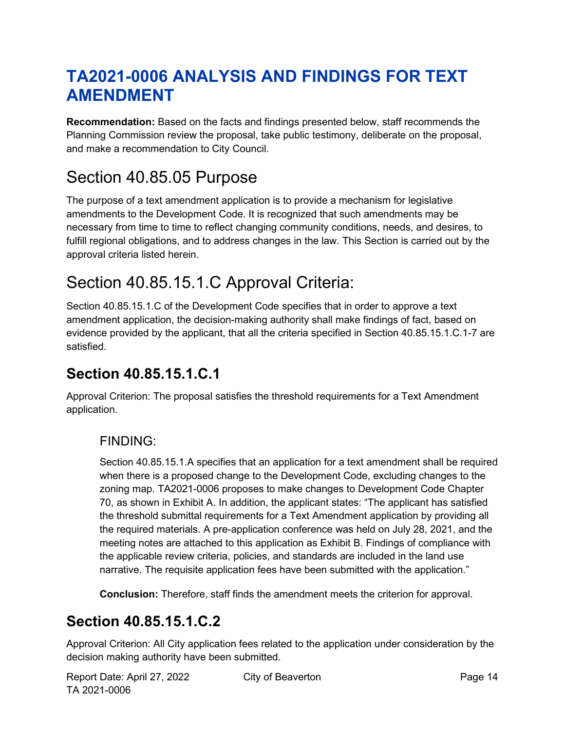# <span id="page-13-0"></span>**TA2021-0006 ANALYSIS AND FINDINGS FOR TEXT AMENDMENT**

**Recommendation:** Based on the facts and findings presented below, staff recommends the Planning Commission review the proposal, take public testimony, deliberate on the proposal, and make a recommendation to City Council.

# <span id="page-13-1"></span>Section 40.85.05 Purpose

The purpose of a text amendment application is to provide a mechanism for [legislative](http://online.encodeplus.com/regs/beaverton-or/doc-view.aspx?pn=0&ajax=0&secid=1081) amendments to the Development Code. It is recognized that such amendments may be necessary from time to time to reflect changing community conditions, needs, and desires, to fulfill regional obligations, and to address changes in the law. This Section is carried out by the approval criteria listed herein.

# <span id="page-13-2"></span>Section 40.85.15.1.C Approval Criteria:

Section 40.85.15.1.C of the Development Code specifies that in order to approve a text amendment application, the decision-making authority shall make findings of fact, based on evidence provided by the applicant, that all the criteria specified in Section 40.85.15.1.C.1-7 are satisfied.

## <span id="page-13-3"></span>**Section 40.85.15.1.C.1**

Approval Criterion: The proposal satisfies the threshold requirements for a Text Amendment application.

### FINDING:

Section 40.85.15.1.A specifies that an application for a text amendment shall be required when there is a proposed change to the Development Code, excluding changes to the zoning map. TA2021-0006 proposes to make changes to Development Code Chapter 70, as shown in Exhibit A. In addition, the applicant states: "The applicant has satisfied the threshold submittal requirements for a Text Amendment application by providing all the required materials. A pre-application conference was held on July 28, 2021, and the meeting notes are attached to this application as Exhibit B. Findings of compliance with the applicable review criteria, policies, and standards are included in the land use narrative. The requisite application fees have been submitted with the application."

**Conclusion:** Therefore, staff finds the amendment meets the criterion for approval.

## <span id="page-13-4"></span>**Section 40.85.15.1.C.2**

Approval Criterion: All City application fees related to the application under consideration by the decision making authority have been submitted.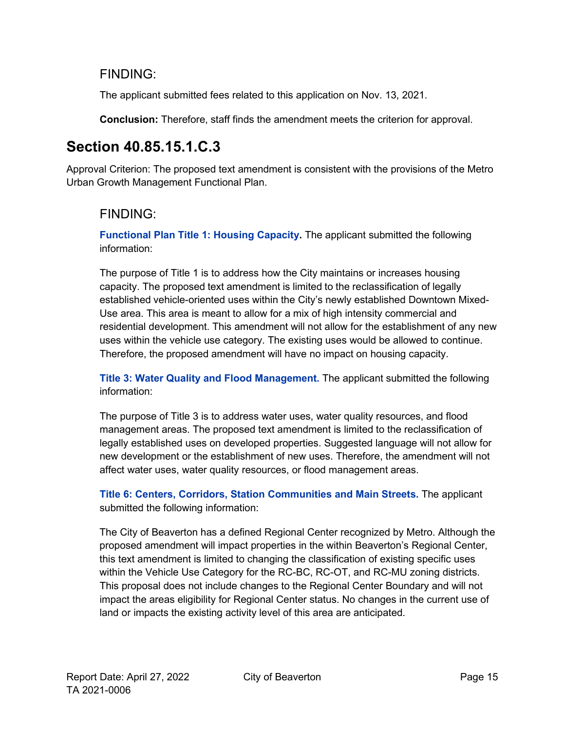### FINDING:

The applicant submitted fees related to this application on Nov. 13, 2021.

**Conclusion:** Therefore, staff finds the amendment meets the criterion for approval.

## <span id="page-14-0"></span>**Section 40.85.15.1.C.3**

Approval Criterion: The proposed text amendment is consistent with the provisions of the Metro Urban Growth Management Functional Plan.

### FINDING:

**Functional Plan Title 1: Housing Capacity.** The applicant submitted the following information:

The purpose of Title 1 is to address how the City maintains or increases housing capacity. The proposed text amendment is limited to the reclassification of legally established vehicle-oriented uses within the City's newly established Downtown Mixed-Use area. This area is meant to allow for a mix of high intensity commercial and residential development. This amendment will not allow for the establishment of any new uses within the vehicle use category. The existing uses would be allowed to continue. Therefore, the proposed amendment will have no impact on housing capacity.

**Title 3: Water Quality and Flood Management.** The applicant submitted the following information:

The purpose of Title 3 is to address water uses, water quality resources, and flood management areas. The proposed text amendment is limited to the reclassification of legally established uses on developed properties. Suggested language will not allow for new development or the establishment of new uses. Therefore, the amendment will not affect water uses, water quality resources, or flood management areas.

**Title 6: Centers, Corridors, Station Communities and Main Streets.** The applicant submitted the following information:

The City of Beaverton has a defined Regional Center recognized by Metro. Although the proposed amendment will impact properties in the within Beaverton's Regional Center, this text amendment is limited to changing the classification of existing specific uses within the Vehicle Use Category for the RC-BC, RC-OT, and RC-MU zoning districts. This proposal does not include changes to the Regional Center Boundary and will not impact the areas eligibility for Regional Center status. No changes in the current use of land or impacts the existing activity level of this area are anticipated.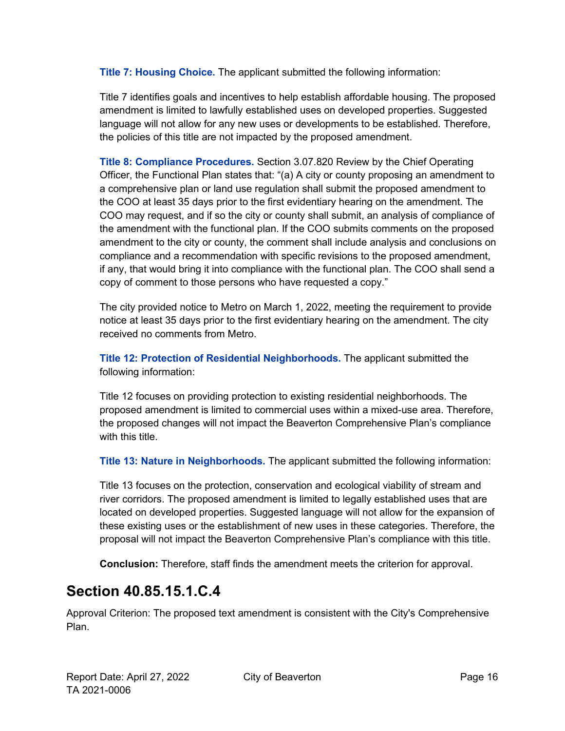**Title 7: Housing Choice.** The applicant submitted the following information:

Title 7 identifies goals and incentives to help establish affordable housing. The proposed amendment is limited to lawfully established uses on developed properties. Suggested language will not allow for any new uses or developments to be established. Therefore, the policies of this title are not impacted by the proposed amendment.

**Title 8: Compliance Procedures.** Section 3.07.820 Review by the Chief Operating Officer, the Functional Plan states that: "(a) A city or county proposing an amendment to a comprehensive plan or land use regulation shall submit the proposed amendment to the COO at least 35 days prior to the first evidentiary hearing on the amendment. The COO may request, and if so the city or county shall submit, an analysis of compliance of the amendment with the functional plan. If the COO submits comments on the proposed amendment to the city or county, the comment shall include analysis and conclusions on compliance and a recommendation with specific revisions to the proposed amendment, if any, that would bring it into compliance with the functional plan. The COO shall send a copy of comment to those persons who have requested a copy."

The city provided notice to Metro on March 1, 2022, meeting the requirement to provide notice at least 35 days prior to the first evidentiary hearing on the amendment. The city received no comments from Metro.

**Title 12: Protection of Residential Neighborhoods.** The applicant submitted the following information:

Title 12 focuses on providing protection to existing residential neighborhoods. The proposed amendment is limited to commercial uses within a mixed-use area. Therefore, the proposed changes will not impact the Beaverton Comprehensive Plan's compliance with this title.

**Title 13: Nature in Neighborhoods.** The applicant submitted the following information:

Title 13 focuses on the protection, conservation and ecological viability of stream and river corridors. The proposed amendment is limited to legally established uses that are located on developed properties. Suggested language will not allow for the expansion of these existing uses or the establishment of new uses in these categories. Therefore, the proposal will not impact the Beaverton Comprehensive Plan's compliance with this title.

**Conclusion:** Therefore, staff finds the amendment meets the criterion for approval.

## <span id="page-15-0"></span>**Section 40.85.15.1.C.4**

Approval Criterion: The proposed text amendment is consistent with the City's Comprehensive Plan.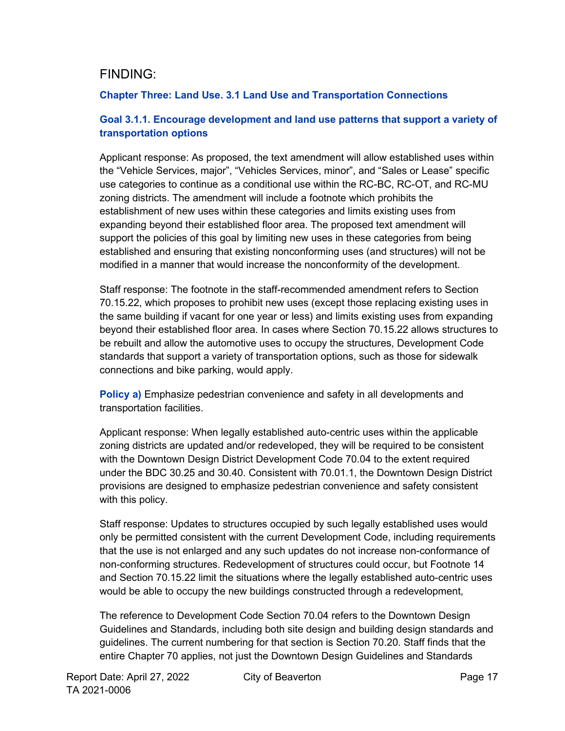### FINDING:

#### **Chapter Three: Land Use. 3.1 Land Use and Transportation Connections**

#### **Goal 3.1.1. Encourage development and land use patterns that support a variety of transportation options**

Applicant response: As proposed, the text amendment will allow established uses within the "Vehicle Services, major", "Vehicles Services, minor", and "Sales or Lease" specific use categories to continue as a conditional use within the RC-BC, RC-OT, and RC-MU zoning districts. The amendment will include a footnote which prohibits the establishment of new uses within these categories and limits existing uses from expanding beyond their established floor area. The proposed text amendment will support the policies of this goal by limiting new uses in these categories from being established and ensuring that existing nonconforming uses (and structures) will not be modified in a manner that would increase the nonconformity of the development.

Staff response: The footnote in the staff-recommended amendment refers to Section 70.15.22, which proposes to prohibit new uses (except those replacing existing uses in the same building if vacant for one year or less) and limits existing uses from expanding beyond their established floor area. In cases where Section 70.15.22 allows structures to be rebuilt and allow the automotive uses to occupy the structures, Development Code standards that support a variety of transportation options, such as those for sidewalk connections and bike parking, would apply.

**Policy a)** Emphasize pedestrian convenience and safety in all developments and transportation facilities.

Applicant response: When legally established auto-centric uses within the applicable zoning districts are updated and/or redeveloped, they will be required to be consistent with the Downtown Design District Development Code 70.04 to the extent required under the BDC 30.25 and 30.40. Consistent with 70.01.1, the Downtown Design District provisions are designed to emphasize pedestrian convenience and safety consistent with this policy.

Staff response: Updates to structures occupied by such legally established uses would only be permitted consistent with the current Development Code, including requirements that the use is not enlarged and any such updates do not increase non-conformance of non-conforming structures. Redevelopment of structures could occur, but Footnote 14 and Section 70.15.22 limit the situations where the legally established auto-centric uses would be able to occupy the new buildings constructed through a redevelopment,

The reference to Development Code Section 70.04 refers to the Downtown Design Guidelines and Standards, including both site design and building design standards and guidelines. The current numbering for that section is Section 70.20. Staff finds that the entire Chapter 70 applies, not just the Downtown Design Guidelines and Standards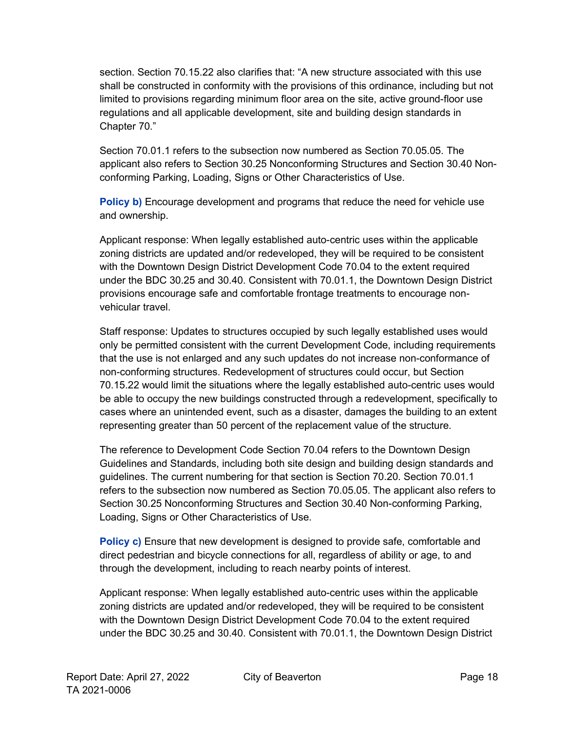section. Section 70.15.22 also clarifies that: "A new structure associated with this use shall be constructed in conformity with the provisions of this ordinance, including but not limited to provisions regarding minimum floor area on the site, active ground-floor use regulations and all applicable development, site and building design standards in Chapter 70."

Section 70.01.1 refers to the subsection now numbered as Section 70.05.05. The applicant also refers to Section 30.25 Nonconforming Structures and Section 30.40 Nonconforming Parking, Loading, Signs or Other Characteristics of Use.

**Policy b)** Encourage development and programs that reduce the need for vehicle use and ownership.

Applicant response: When legally established auto-centric uses within the applicable zoning districts are updated and/or redeveloped, they will be required to be consistent with the Downtown Design District Development Code 70.04 to the extent required under the BDC 30.25 and 30.40. Consistent with 70.01.1, the Downtown Design District provisions encourage safe and comfortable frontage treatments to encourage nonvehicular travel.

Staff response: Updates to structures occupied by such legally established uses would only be permitted consistent with the current Development Code, including requirements that the use is not enlarged and any such updates do not increase non-conformance of non-conforming structures. Redevelopment of structures could occur, but Section 70.15.22 would limit the situations where the legally established auto-centric uses would be able to occupy the new buildings constructed through a redevelopment, specifically to cases where an unintended event, such as a disaster, damages the building to an extent representing greater than 50 percent of the replacement value of the structure.

The reference to Development Code Section 70.04 refers to the Downtown Design Guidelines and Standards, including both site design and building design standards and guidelines. The current numbering for that section is Section 70.20. Section 70.01.1 refers to the subsection now numbered as Section 70.05.05. The applicant also refers to Section 30.25 Nonconforming Structures and Section 30.40 Non-conforming Parking, Loading, Signs or Other Characteristics of Use.

**Policy c)** Ensure that new development is designed to provide safe, comfortable and direct pedestrian and bicycle connections for all, regardless of ability or age, to and through the development, including to reach nearby points of interest.

Applicant response: When legally established auto-centric uses within the applicable zoning districts are updated and/or redeveloped, they will be required to be consistent with the Downtown Design District Development Code 70.04 to the extent required under the BDC 30.25 and 30.40. Consistent with 70.01.1, the Downtown Design District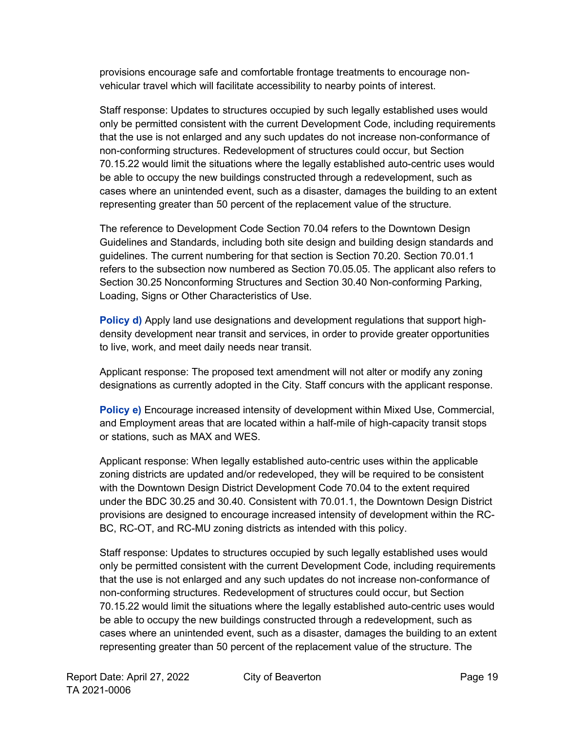provisions encourage safe and comfortable frontage treatments to encourage nonvehicular travel which will facilitate accessibility to nearby points of interest.

Staff response: Updates to structures occupied by such legally established uses would only be permitted consistent with the current Development Code, including requirements that the use is not enlarged and any such updates do not increase non-conformance of non-conforming structures. Redevelopment of structures could occur, but Section 70.15.22 would limit the situations where the legally established auto-centric uses would be able to occupy the new buildings constructed through a redevelopment, such as cases where an unintended event, such as a disaster, damages the building to an extent representing greater than 50 percent of the replacement value of the structure.

The reference to Development Code Section 70.04 refers to the Downtown Design Guidelines and Standards, including both site design and building design standards and guidelines. The current numbering for that section is Section 70.20. Section 70.01.1 refers to the subsection now numbered as Section 70.05.05. The applicant also refers to Section 30.25 Nonconforming Structures and Section 30.40 Non-conforming Parking, Loading, Signs or Other Characteristics of Use.

**Policy d)** Apply land use designations and development regulations that support highdensity development near transit and services, in order to provide greater opportunities to live, work, and meet daily needs near transit.

Applicant response: The proposed text amendment will not alter or modify any zoning designations as currently adopted in the City. Staff concurs with the applicant response.

**Policy e)** Encourage increased intensity of development within Mixed Use, Commercial, and Employment areas that are located within a half-mile of high-capacity transit stops or stations, such as MAX and WES.

Applicant response: When legally established auto-centric uses within the applicable zoning districts are updated and/or redeveloped, they will be required to be consistent with the Downtown Design District Development Code 70.04 to the extent required under the BDC 30.25 and 30.40. Consistent with 70.01.1, the Downtown Design District provisions are designed to encourage increased intensity of development within the RC-BC, RC-OT, and RC-MU zoning districts as intended with this policy.

Staff response: Updates to structures occupied by such legally established uses would only be permitted consistent with the current Development Code, including requirements that the use is not enlarged and any such updates do not increase non-conformance of non-conforming structures. Redevelopment of structures could occur, but Section 70.15.22 would limit the situations where the legally established auto-centric uses would be able to occupy the new buildings constructed through a redevelopment, such as cases where an unintended event, such as a disaster, damages the building to an extent representing greater than 50 percent of the replacement value of the structure. The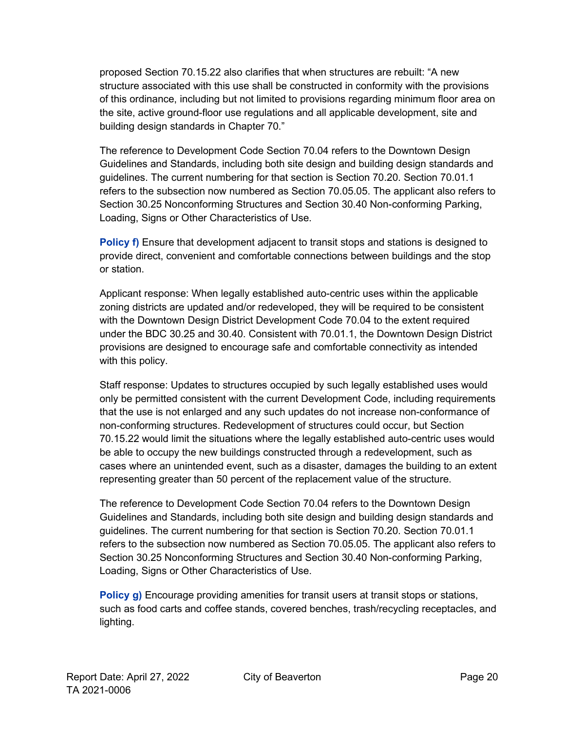proposed Section 70.15.22 also clarifies that when structures are rebuilt: "A new structure associated with this use shall be constructed in conformity with the provisions of this ordinance, including but not limited to provisions regarding minimum floor area on the site, active ground-floor use regulations and all applicable development, site and building design standards in Chapter 70."

The reference to Development Code Section 70.04 refers to the Downtown Design Guidelines and Standards, including both site design and building design standards and guidelines. The current numbering for that section is Section 70.20. Section 70.01.1 refers to the subsection now numbered as Section 70.05.05. The applicant also refers to Section 30.25 Nonconforming Structures and Section 30.40 Non-conforming Parking, Loading, Signs or Other Characteristics of Use.

**Policy f)** Ensure that development adjacent to transit stops and stations is designed to provide direct, convenient and comfortable connections between buildings and the stop or station.

Applicant response: When legally established auto-centric uses within the applicable zoning districts are updated and/or redeveloped, they will be required to be consistent with the Downtown Design District Development Code 70.04 to the extent required under the BDC 30.25 and 30.40. Consistent with 70.01.1, the Downtown Design District provisions are designed to encourage safe and comfortable connectivity as intended with this policy.

Staff response: Updates to structures occupied by such legally established uses would only be permitted consistent with the current Development Code, including requirements that the use is not enlarged and any such updates do not increase non-conformance of non-conforming structures. Redevelopment of structures could occur, but Section 70.15.22 would limit the situations where the legally established auto-centric uses would be able to occupy the new buildings constructed through a redevelopment, such as cases where an unintended event, such as a disaster, damages the building to an extent representing greater than 50 percent of the replacement value of the structure.

The reference to Development Code Section 70.04 refers to the Downtown Design Guidelines and Standards, including both site design and building design standards and guidelines. The current numbering for that section is Section 70.20. Section 70.01.1 refers to the subsection now numbered as Section 70.05.05. The applicant also refers to Section 30.25 Nonconforming Structures and Section 30.40 Non-conforming Parking, Loading, Signs or Other Characteristics of Use.

**Policy g)** Encourage providing amenities for transit users at transit stops or stations, such as food carts and coffee stands, covered benches, trash/recycling receptacles, and lighting.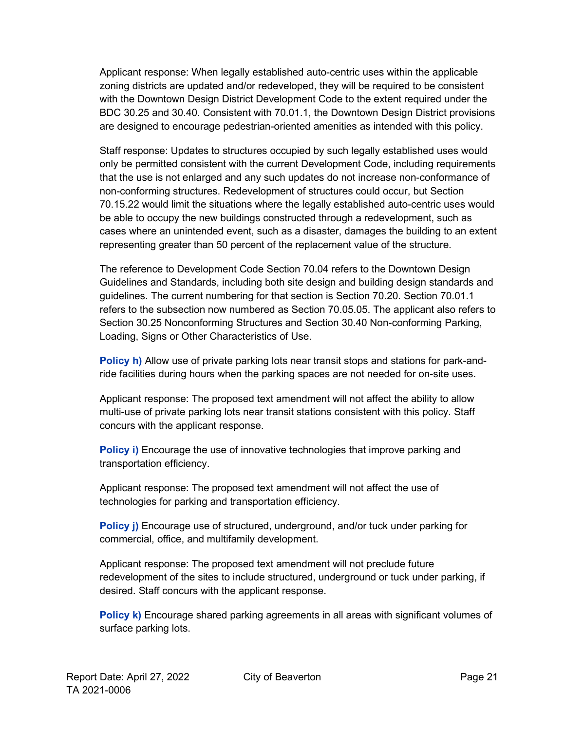Applicant response: When legally established auto-centric uses within the applicable zoning districts are updated and/or redeveloped, they will be required to be consistent with the Downtown Design District Development Code to the extent required under the BDC 30.25 and 30.40. Consistent with 70.01.1, the Downtown Design District provisions are designed to encourage pedestrian-oriented amenities as intended with this policy.

Staff response: Updates to structures occupied by such legally established uses would only be permitted consistent with the current Development Code, including requirements that the use is not enlarged and any such updates do not increase non-conformance of non-conforming structures. Redevelopment of structures could occur, but Section 70.15.22 would limit the situations where the legally established auto-centric uses would be able to occupy the new buildings constructed through a redevelopment, such as cases where an unintended event, such as a disaster, damages the building to an extent representing greater than 50 percent of the replacement value of the structure.

The reference to Development Code Section 70.04 refers to the Downtown Design Guidelines and Standards, including both site design and building design standards and guidelines. The current numbering for that section is Section 70.20. Section 70.01.1 refers to the subsection now numbered as Section 70.05.05. The applicant also refers to Section 30.25 Nonconforming Structures and Section 30.40 Non-conforming Parking, Loading, Signs or Other Characteristics of Use.

**Policy h)** Allow use of private parking lots near transit stops and stations for park-andride facilities during hours when the parking spaces are not needed for on-site uses.

Applicant response: The proposed text amendment will not affect the ability to allow multi-use of private parking lots near transit stations consistent with this policy. Staff concurs with the applicant response.

**Policy i)** Encourage the use of innovative technologies that improve parking and transportation efficiency.

Applicant response: The proposed text amendment will not affect the use of technologies for parking and transportation efficiency.

**Policy j)** Encourage use of structured, underground, and/or tuck under parking for commercial, office, and multifamily development.

Applicant response: The proposed text amendment will not preclude future redevelopment of the sites to include structured, underground or tuck under parking, if desired. Staff concurs with the applicant response.

**Policy k)** Encourage shared parking agreements in all areas with significant volumes of surface parking lots.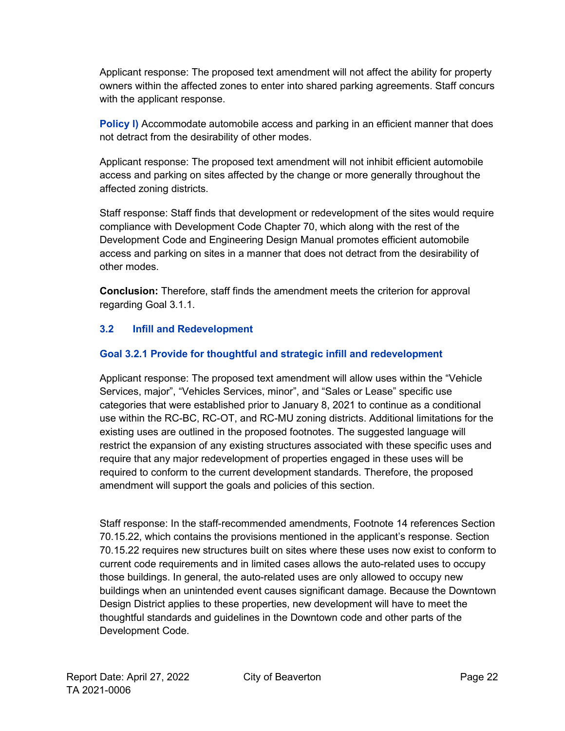Applicant response: The proposed text amendment will not affect the ability for property owners within the affected zones to enter into shared parking agreements. Staff concurs with the applicant response.

**Policy I)** Accommodate automobile access and parking in an efficient manner that does not detract from the desirability of other modes.

Applicant response: The proposed text amendment will not inhibit efficient automobile access and parking on sites affected by the change or more generally throughout the affected zoning districts.

Staff response: Staff finds that development or redevelopment of the sites would require compliance with Development Code Chapter 70, which along with the rest of the Development Code and Engineering Design Manual promotes efficient automobile access and parking on sites in a manner that does not detract from the desirability of other modes.

**Conclusion:** Therefore, staff finds the amendment meets the criterion for approval regarding Goal 3.1.1.

#### **3.2 Infill and Redevelopment**

#### **Goal 3.2.1 Provide for thoughtful and strategic infill and redevelopment**

Applicant response: The proposed text amendment will allow uses within the "Vehicle Services, major", "Vehicles Services, minor", and "Sales or Lease" specific use categories that were established prior to January 8, 2021 to continue as a conditional use within the RC-BC, RC-OT, and RC-MU zoning districts. Additional limitations for the existing uses are outlined in the proposed footnotes. The suggested language will restrict the expansion of any existing structures associated with these specific uses and require that any major redevelopment of properties engaged in these uses will be required to conform to the current development standards. Therefore, the proposed amendment will support the goals and policies of this section.

Staff response: In the staff-recommended amendments, Footnote 14 references Section 70.15.22, which contains the provisions mentioned in the applicant's response. Section 70.15.22 requires new structures built on sites where these uses now exist to conform to current code requirements and in limited cases allows the auto-related uses to occupy those buildings. In general, the auto-related uses are only allowed to occupy new buildings when an unintended event causes significant damage. Because the Downtown Design District applies to these properties, new development will have to meet the thoughtful standards and guidelines in the Downtown code and other parts of the Development Code.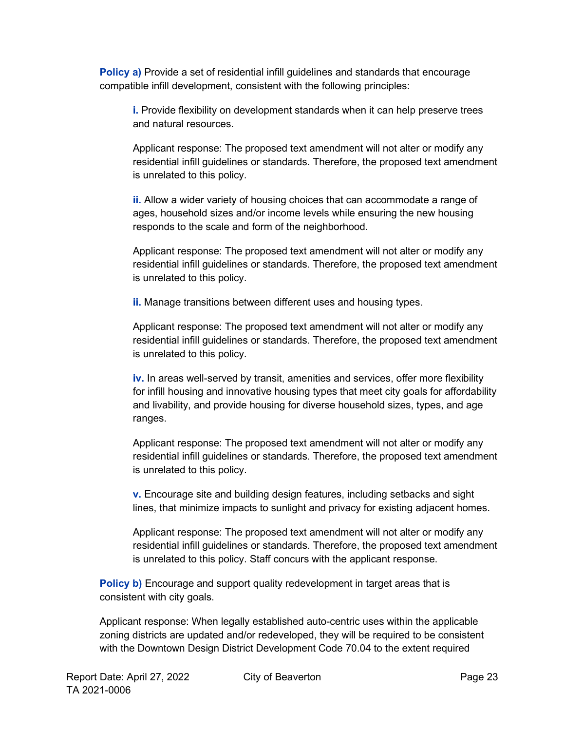**Policy a)** Provide a set of residential infill guidelines and standards that encourage compatible infill development, consistent with the following principles:

**i.** Provide flexibility on development standards when it can help preserve trees and natural resources.

Applicant response: The proposed text amendment will not alter or modify any residential infill guidelines or standards. Therefore, the proposed text amendment is unrelated to this policy.

**ii.** Allow a wider variety of housing choices that can accommodate a range of ages, household sizes and/or income levels while ensuring the new housing responds to the scale and form of the neighborhood.

Applicant response: The proposed text amendment will not alter or modify any residential infill guidelines or standards. Therefore, the proposed text amendment is unrelated to this policy.

**ii.** Manage transitions between different uses and housing types.

Applicant response: The proposed text amendment will not alter or modify any residential infill guidelines or standards. Therefore, the proposed text amendment is unrelated to this policy.

**iv.** In areas well-served by transit, amenities and services, offer more flexibility for infill housing and innovative housing types that meet city goals for affordability and livability, and provide housing for diverse household sizes, types, and age ranges.

Applicant response: The proposed text amendment will not alter or modify any residential infill guidelines or standards. Therefore, the proposed text amendment is unrelated to this policy.

**v.** Encourage site and building design features, including setbacks and sight lines, that minimize impacts to sunlight and privacy for existing adjacent homes.

Applicant response: The proposed text amendment will not alter or modify any residential infill guidelines or standards. Therefore, the proposed text amendment is unrelated to this policy. Staff concurs with the applicant response.

**Policy b)** Encourage and support quality redevelopment in target areas that is consistent with city goals.

Applicant response: When legally established auto-centric uses within the applicable zoning districts are updated and/or redeveloped, they will be required to be consistent with the Downtown Design District Development Code 70.04 to the extent required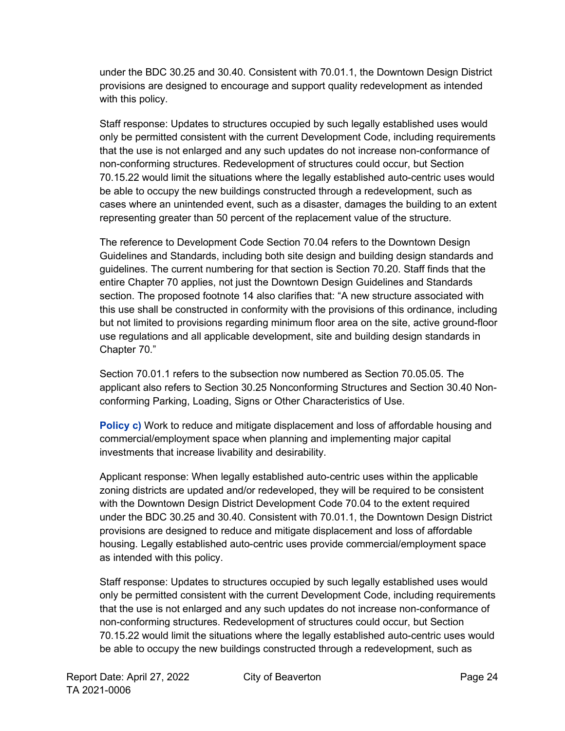under the BDC 30.25 and 30.40. Consistent with 70.01.1, the Downtown Design District provisions are designed to encourage and support quality redevelopment as intended with this policy.

Staff response: Updates to structures occupied by such legally established uses would only be permitted consistent with the current Development Code, including requirements that the use is not enlarged and any such updates do not increase non-conformance of non-conforming structures. Redevelopment of structures could occur, but Section 70.15.22 would limit the situations where the legally established auto-centric uses would be able to occupy the new buildings constructed through a redevelopment, such as cases where an unintended event, such as a disaster, damages the building to an extent representing greater than 50 percent of the replacement value of the structure.

The reference to Development Code Section 70.04 refers to the Downtown Design Guidelines and Standards, including both site design and building design standards and guidelines. The current numbering for that section is Section 70.20. Staff finds that the entire Chapter 70 applies, not just the Downtown Design Guidelines and Standards section. The proposed footnote 14 also clarifies that: "A new structure associated with this use shall be constructed in conformity with the provisions of this ordinance, including but not limited to provisions regarding minimum floor area on the site, active ground-floor use regulations and all applicable development, site and building design standards in Chapter 70."

Section 70.01.1 refers to the subsection now numbered as Section 70.05.05. The applicant also refers to Section 30.25 Nonconforming Structures and Section 30.40 Nonconforming Parking, Loading, Signs or Other Characteristics of Use.

**Policy c)** Work to reduce and mitigate displacement and loss of affordable housing and commercial/employment space when planning and implementing major capital investments that increase livability and desirability.

Applicant response: When legally established auto-centric uses within the applicable zoning districts are updated and/or redeveloped, they will be required to be consistent with the Downtown Design District Development Code 70.04 to the extent required under the BDC 30.25 and 30.40. Consistent with 70.01.1, the Downtown Design District provisions are designed to reduce and mitigate displacement and loss of affordable housing. Legally established auto-centric uses provide commercial/employment space as intended with this policy.

Staff response: Updates to structures occupied by such legally established uses would only be permitted consistent with the current Development Code, including requirements that the use is not enlarged and any such updates do not increase non-conformance of non-conforming structures. Redevelopment of structures could occur, but Section 70.15.22 would limit the situations where the legally established auto-centric uses would be able to occupy the new buildings constructed through a redevelopment, such as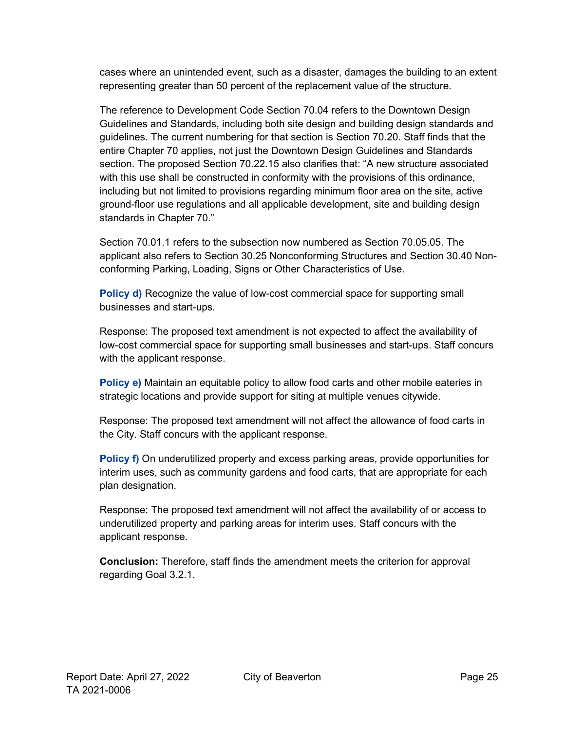cases where an unintended event, such as a disaster, damages the building to an extent representing greater than 50 percent of the replacement value of the structure.

The reference to Development Code Section 70.04 refers to the Downtown Design Guidelines and Standards, including both site design and building design standards and guidelines. The current numbering for that section is Section 70.20. Staff finds that the entire Chapter 70 applies, not just the Downtown Design Guidelines and Standards section. The proposed Section 70.22.15 also clarifies that: "A new structure associated with this use shall be constructed in conformity with the provisions of this ordinance, including but not limited to provisions regarding minimum floor area on the site, active ground-floor use regulations and all applicable development, site and building design standards in Chapter 70."

Section 70.01.1 refers to the subsection now numbered as Section 70.05.05. The applicant also refers to Section 30.25 Nonconforming Structures and Section 30.40 Nonconforming Parking, Loading, Signs or Other Characteristics of Use.

**Policy d)** Recognize the value of low-cost commercial space for supporting small businesses and start-ups.

Response: The proposed text amendment is not expected to affect the availability of low-cost commercial space for supporting small businesses and start-ups. Staff concurs with the applicant response.

**Policy e)** Maintain an equitable policy to allow food carts and other mobile eateries in strategic locations and provide support for siting at multiple venues citywide.

Response: The proposed text amendment will not affect the allowance of food carts in the City. Staff concurs with the applicant response.

**Policy f)** On underutilized property and excess parking areas, provide opportunities for interim uses, such as community gardens and food carts, that are appropriate for each plan designation.

Response: The proposed text amendment will not affect the availability of or access to underutilized property and parking areas for interim uses. Staff concurs with the applicant response.

**Conclusion:** Therefore, staff finds the amendment meets the criterion for approval regarding Goal 3.2.1.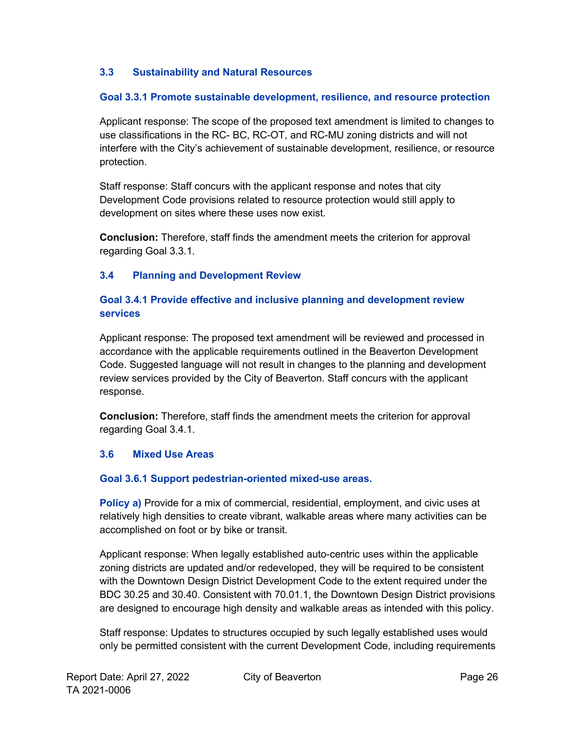#### **3.3 Sustainability and Natural Resources**

#### **Goal 3.3.1 Promote sustainable development, resilience, and resource protection**

Applicant response: The scope of the proposed text amendment is limited to changes to use classifications in the RC- BC, RC-OT, and RC-MU zoning districts and will not interfere with the City's achievement of sustainable development, resilience, or resource protection.

Staff response: Staff concurs with the applicant response and notes that city Development Code provisions related to resource protection would still apply to development on sites where these uses now exist.

**Conclusion:** Therefore, staff finds the amendment meets the criterion for approval regarding Goal 3.3.1.

#### **3.4 Planning and Development Review**

#### **Goal 3.4.1 Provide effective and inclusive planning and development review services**

Applicant response: The proposed text amendment will be reviewed and processed in accordance with the applicable requirements outlined in the Beaverton Development Code. Suggested language will not result in changes to the planning and development review services provided by the City of Beaverton. Staff concurs with the applicant response.

**Conclusion:** Therefore, staff finds the amendment meets the criterion for approval regarding Goal 3.4.1.

#### **3.6 Mixed Use Areas**

#### **Goal 3.6.1 Support pedestrian-oriented mixed-use areas.**

**Policy a)** Provide for a mix of commercial, residential, employment, and civic uses at relatively high densities to create vibrant, walkable areas where many activities can be accomplished on foot or by bike or transit.

Applicant response: When legally established auto-centric uses within the applicable zoning districts are updated and/or redeveloped, they will be required to be consistent with the Downtown Design District Development Code to the extent required under the BDC 30.25 and 30.40. Consistent with 70.01.1, the Downtown Design District provisions are designed to encourage high density and walkable areas as intended with this policy.

Staff response: Updates to structures occupied by such legally established uses would only be permitted consistent with the current Development Code, including requirements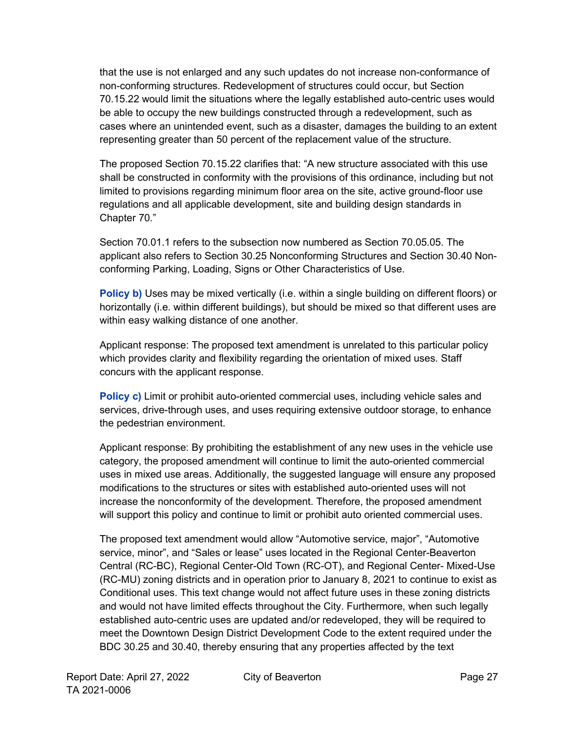that the use is not enlarged and any such updates do not increase non-conformance of non-conforming structures. Redevelopment of structures could occur, but Section 70.15.22 would limit the situations where the legally established auto-centric uses would be able to occupy the new buildings constructed through a redevelopment, such as cases where an unintended event, such as a disaster, damages the building to an extent representing greater than 50 percent of the replacement value of the structure.

The proposed Section 70.15.22 clarifies that: "A new structure associated with this use shall be constructed in conformity with the provisions of this ordinance, including but not limited to provisions regarding minimum floor area on the site, active ground-floor use regulations and all applicable development, site and building design standards in Chapter 70."

Section 70.01.1 refers to the subsection now numbered as Section 70.05.05. The applicant also refers to Section 30.25 Nonconforming Structures and Section 30.40 Nonconforming Parking, Loading, Signs or Other Characteristics of Use.

**Policy b)** Uses may be mixed vertically (i.e. within a single building on different floors) or horizontally (i.e. within different buildings), but should be mixed so that different uses are within easy walking distance of one another.

Applicant response: The proposed text amendment is unrelated to this particular policy which provides clarity and flexibility regarding the orientation of mixed uses. Staff concurs with the applicant response.

**Policy c)** Limit or prohibit auto-oriented commercial uses, including vehicle sales and services, drive-through uses, and uses requiring extensive outdoor storage, to enhance the pedestrian environment.

Applicant response: By prohibiting the establishment of any new uses in the vehicle use category, the proposed amendment will continue to limit the auto-oriented commercial uses in mixed use areas. Additionally, the suggested language will ensure any proposed modifications to the structures or sites with established auto-oriented uses will not increase the nonconformity of the development. Therefore, the proposed amendment will support this policy and continue to limit or prohibit auto oriented commercial uses.

The proposed text amendment would allow "Automotive service, major", "Automotive service, minor", and "Sales or lease" uses located in the Regional Center-Beaverton Central (RC-BC), Regional Center-Old Town (RC-OT), and Regional Center- Mixed-Use (RC-MU) zoning districts and in operation prior to January 8, 2021 to continue to exist as Conditional uses. This text change would not affect future uses in these zoning districts and would not have limited effects throughout the City. Furthermore, when such legally established auto-centric uses are updated and/or redeveloped, they will be required to meet the Downtown Design District Development Code to the extent required under the BDC 30.25 and 30.40, thereby ensuring that any properties affected by the text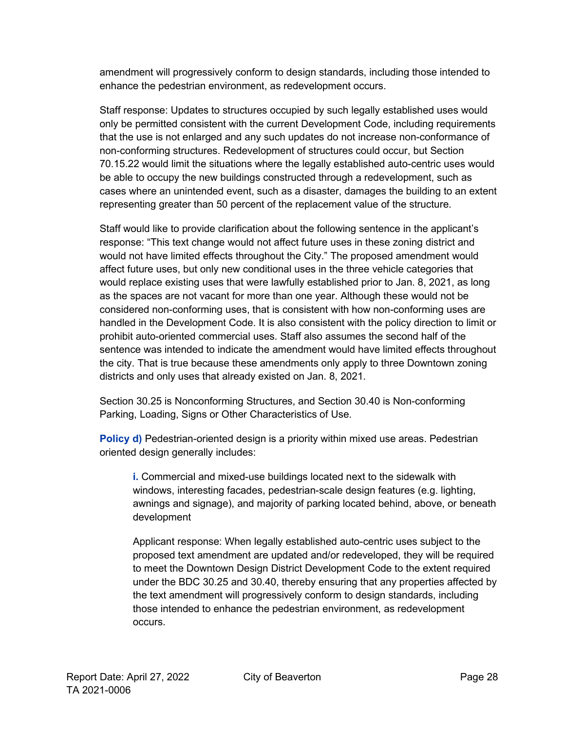amendment will progressively conform to design standards, including those intended to enhance the pedestrian environment, as redevelopment occurs.

Staff response: Updates to structures occupied by such legally established uses would only be permitted consistent with the current Development Code, including requirements that the use is not enlarged and any such updates do not increase non-conformance of non-conforming structures. Redevelopment of structures could occur, but Section 70.15.22 would limit the situations where the legally established auto-centric uses would be able to occupy the new buildings constructed through a redevelopment, such as cases where an unintended event, such as a disaster, damages the building to an extent representing greater than 50 percent of the replacement value of the structure.

Staff would like to provide clarification about the following sentence in the applicant's response: "This text change would not affect future uses in these zoning district and would not have limited effects throughout the City." The proposed amendment would affect future uses, but only new conditional uses in the three vehicle categories that would replace existing uses that were lawfully established prior to Jan. 8, 2021, as long as the spaces are not vacant for more than one year. Although these would not be considered non-conforming uses, that is consistent with how non-conforming uses are handled in the Development Code. It is also consistent with the policy direction to limit or prohibit auto-oriented commercial uses. Staff also assumes the second half of the sentence was intended to indicate the amendment would have limited effects throughout the city. That is true because these amendments only apply to three Downtown zoning districts and only uses that already existed on Jan. 8, 2021.

Section 30.25 is Nonconforming Structures, and Section 30.40 is Non-conforming Parking, Loading, Signs or Other Characteristics of Use.

**Policy d)** Pedestrian-oriented design is a priority within mixed use areas. Pedestrian oriented design generally includes:

**i.** Commercial and mixed-use buildings located next to the sidewalk with windows, interesting facades, pedestrian-scale design features (e.g. lighting, awnings and signage), and majority of parking located behind, above, or beneath development

Applicant response: When legally established auto-centric uses subject to the proposed text amendment are updated and/or redeveloped, they will be required to meet the Downtown Design District Development Code to the extent required under the BDC 30.25 and 30.40, thereby ensuring that any properties affected by the text amendment will progressively conform to design standards, including those intended to enhance the pedestrian environment, as redevelopment occurs.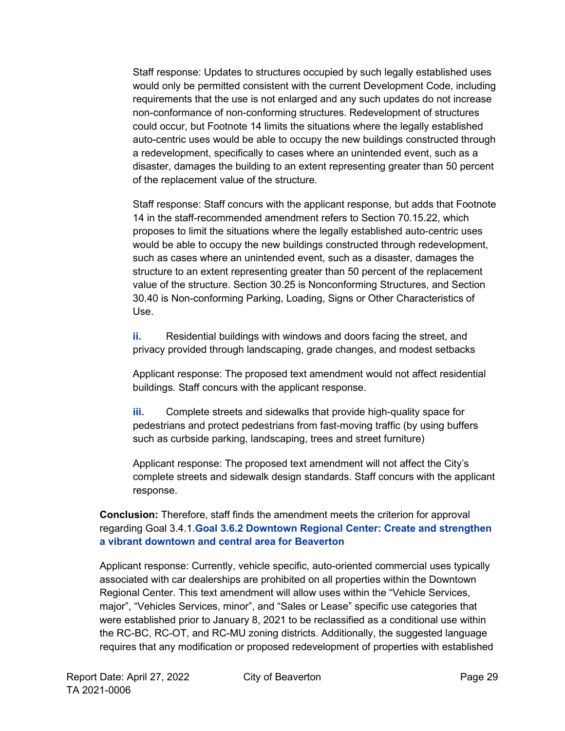Staff response: Updates to structures occupied by such legally established uses would only be permitted consistent with the current Development Code, including requirements that the use is not enlarged and any such updates do not increase non-conformance of non-conforming structures. Redevelopment of structures could occur, but Footnote 14 limits the situations where the legally established auto-centric uses would be able to occupy the new buildings constructed through a redevelopment, specifically to cases where an unintended event, such as a disaster, damages the building to an extent representing greater than 50 percent of the replacement value of the structure.

Staff response: Staff concurs with the applicant response, but adds that Footnote 14 in the staff-recommended amendment refers to Section 70.15.22, which proposes to limit the situations where the legally established auto-centric uses would be able to occupy the new buildings constructed through redevelopment, such as cases where an unintended event, such as a disaster, damages the structure to an extent representing greater than 50 percent of the replacement value of the structure. Section 30.25 is Nonconforming Structures, and Section 30.40 is Non-conforming Parking, Loading, Signs or Other Characteristics of Use.

**ii.** Residential buildings with windows and doors facing the street, and privacy provided through landscaping, grade changes, and modest setbacks

Applicant response: The proposed text amendment would not affect residential buildings. Staff concurs with the applicant response.

**iii.** Complete streets and sidewalks that provide high-quality space for pedestrians and protect pedestrians from fast-moving traffic (by using buffers such as curbside parking, landscaping, trees and street furniture)

Applicant response: The proposed text amendment will not affect the City's complete streets and sidewalk design standards. Staff concurs with the applicant response.

#### **Conclusion:** Therefore, staff finds the amendment meets the criterion for approval regarding Goal 3.4.1.**Goal 3.6.2 Downtown Regional Center: Create and strengthen a vibrant downtown and central area for Beaverton**

Applicant response: Currently, vehicle specific, auto-oriented commercial uses typically associated with car dealerships are prohibited on all properties within the Downtown Regional Center. This text amendment will allow uses within the "Vehicle Services, major", "Vehicles Services, minor", and "Sales or Lease" specific use categories that were established prior to January 8, 2021 to be reclassified as a conditional use within the RC-BC, RC-OT, and RC-MU zoning districts. Additionally, the suggested language requires that any modification or proposed redevelopment of properties with established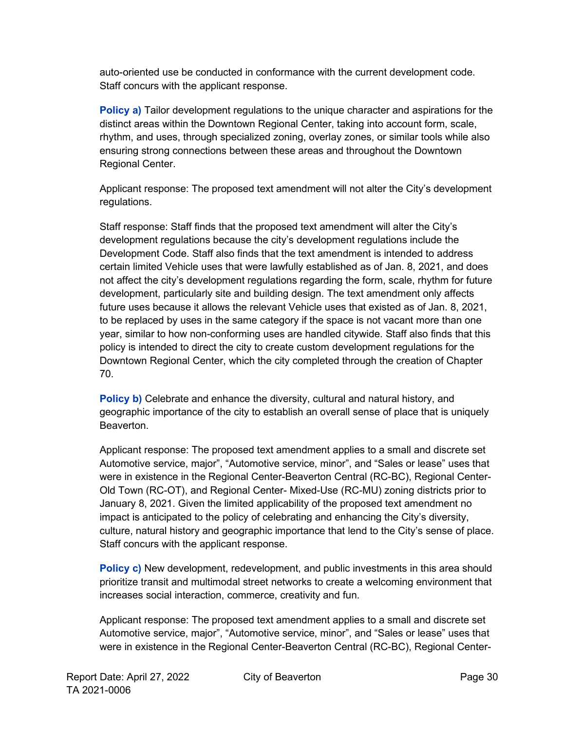auto-oriented use be conducted in conformance with the current development code. Staff concurs with the applicant response.

**Policy a)** Tailor development regulations to the unique character and aspirations for the distinct areas within the Downtown Regional Center, taking into account form, scale, rhythm, and uses, through specialized zoning, overlay zones, or similar tools while also ensuring strong connections between these areas and throughout the Downtown Regional Center.

Applicant response: The proposed text amendment will not alter the City's development regulations.

Staff response: Staff finds that the proposed text amendment will alter the City's development regulations because the city's development regulations include the Development Code. Staff also finds that the text amendment is intended to address certain limited Vehicle uses that were lawfully established as of Jan. 8, 2021, and does not affect the city's development regulations regarding the form, scale, rhythm for future development, particularly site and building design. The text amendment only affects future uses because it allows the relevant Vehicle uses that existed as of Jan. 8, 2021, to be replaced by uses in the same category if the space is not vacant more than one year, similar to how non-conforming uses are handled citywide. Staff also finds that this policy is intended to direct the city to create custom development regulations for the Downtown Regional Center, which the city completed through the creation of Chapter 70.

**Policy b)** Celebrate and enhance the diversity, cultural and natural history, and geographic importance of the city to establish an overall sense of place that is uniquely Beaverton.

Applicant response: The proposed text amendment applies to a small and discrete set Automotive service, major", "Automotive service, minor", and "Sales or lease" uses that were in existence in the Regional Center-Beaverton Central (RC-BC), Regional Center-Old Town (RC-OT), and Regional Center- Mixed-Use (RC-MU) zoning districts prior to January 8, 2021. Given the limited applicability of the proposed text amendment no impact is anticipated to the policy of celebrating and enhancing the City's diversity, culture, natural history and geographic importance that lend to the City's sense of place. Staff concurs with the applicant response.

**Policy c)** New development, redevelopment, and public investments in this area should prioritize transit and multimodal street networks to create a welcoming environment that increases social interaction, commerce, creativity and fun.

Applicant response: The proposed text amendment applies to a small and discrete set Automotive service, major", "Automotive service, minor", and "Sales or lease" uses that were in existence in the Regional Center-Beaverton Central (RC-BC), Regional Center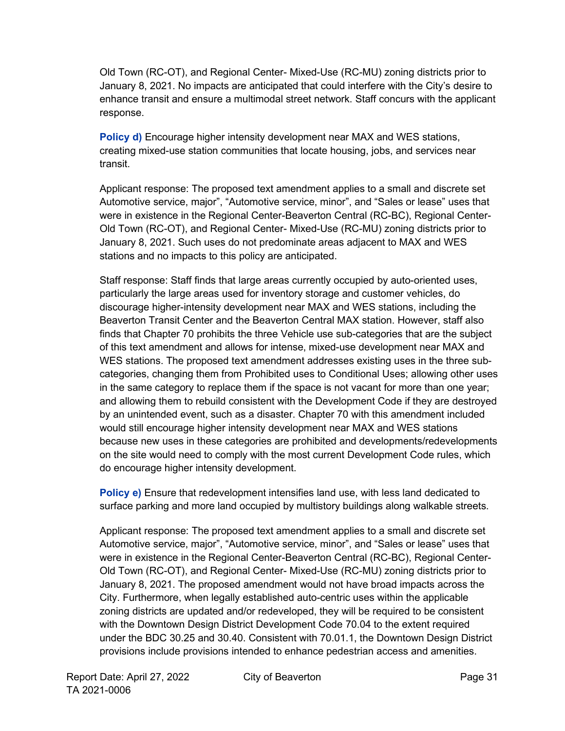Old Town (RC-OT), and Regional Center- Mixed-Use (RC-MU) zoning districts prior to January 8, 2021. No impacts are anticipated that could interfere with the City's desire to enhance transit and ensure a multimodal street network. Staff concurs with the applicant response.

**Policy d)** Encourage higher intensity development near MAX and WES stations, creating mixed-use station communities that locate housing, jobs, and services near transit.

Applicant response: The proposed text amendment applies to a small and discrete set Automotive service, major", "Automotive service, minor", and "Sales or lease" uses that were in existence in the Regional Center-Beaverton Central (RC-BC), Regional Center-Old Town (RC-OT), and Regional Center- Mixed-Use (RC-MU) zoning districts prior to January 8, 2021. Such uses do not predominate areas adjacent to MAX and WES stations and no impacts to this policy are anticipated.

Staff response: Staff finds that large areas currently occupied by auto-oriented uses, particularly the large areas used for inventory storage and customer vehicles, do discourage higher-intensity development near MAX and WES stations, including the Beaverton Transit Center and the Beaverton Central MAX station. However, staff also finds that Chapter 70 prohibits the three Vehicle use sub-categories that are the subject of this text amendment and allows for intense, mixed-use development near MAX and WES stations. The proposed text amendment addresses existing uses in the three subcategories, changing them from Prohibited uses to Conditional Uses; allowing other uses in the same category to replace them if the space is not vacant for more than one year; and allowing them to rebuild consistent with the Development Code if they are destroyed by an unintended event, such as a disaster. Chapter 70 with this amendment included would still encourage higher intensity development near MAX and WES stations because new uses in these categories are prohibited and developments/redevelopments on the site would need to comply with the most current Development Code rules, which do encourage higher intensity development.

**Policy e)** Ensure that redevelopment intensifies land use, with less land dedicated to surface parking and more land occupied by multistory buildings along walkable streets.

Applicant response: The proposed text amendment applies to a small and discrete set Automotive service, major", "Automotive service, minor", and "Sales or lease" uses that were in existence in the Regional Center-Beaverton Central (RC-BC), Regional Center-Old Town (RC-OT), and Regional Center- Mixed-Use (RC-MU) zoning districts prior to January 8, 2021. The proposed amendment would not have broad impacts across the City. Furthermore, when legally established auto-centric uses within the applicable zoning districts are updated and/or redeveloped, they will be required to be consistent with the Downtown Design District Development Code 70.04 to the extent required under the BDC 30.25 and 30.40. Consistent with 70.01.1, the Downtown Design District provisions include provisions intended to enhance pedestrian access and amenities.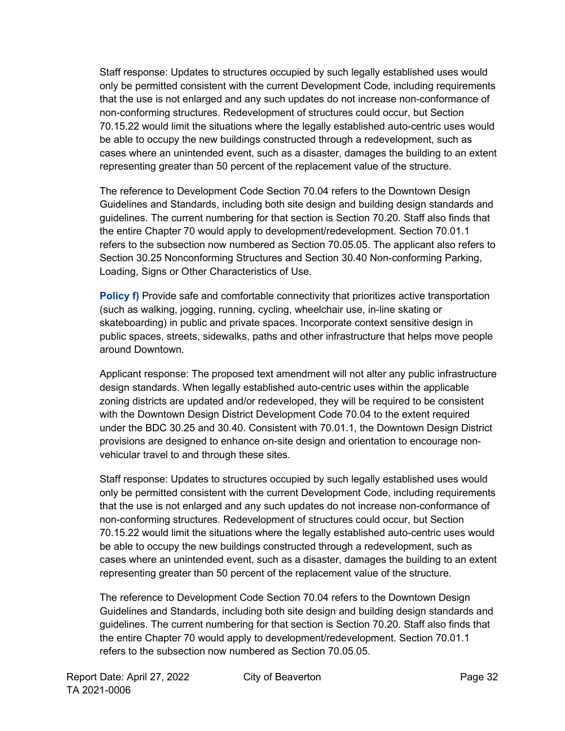Staff response: Updates to structures occupied by such legally established uses would only be permitted consistent with the current Development Code, including requirements that the use is not enlarged and any such updates do not increase non-conformance of non-conforming structures. Redevelopment of structures could occur, but Section 70.15.22 would limit the situations where the legally established auto-centric uses would be able to occupy the new buildings constructed through a redevelopment, such as cases where an unintended event, such as a disaster, damages the building to an extent representing greater than 50 percent of the replacement value of the structure.

The reference to Development Code Section 70.04 refers to the Downtown Design Guidelines and Standards, including both site design and building design standards and guidelines. The current numbering for that section is Section 70.20. Staff also finds that the entire Chapter 70 would apply to development/redevelopment. Section 70.01.1 refers to the subsection now numbered as Section 70.05.05. The applicant also refers to Section 30.25 Nonconforming Structures and Section 30.40 Non-conforming Parking, Loading, Signs or Other Characteristics of Use.

**Policy f)** Provide safe and comfortable connectivity that prioritizes active transportation (such as walking, jogging, running, cycling, wheelchair use, in-line skating or skateboarding) in public and private spaces. Incorporate context sensitive design in public spaces, streets, sidewalks, paths and other infrastructure that helps move people around Downtown.

Applicant response: The proposed text amendment will not alter any public infrastructure design standards. When legally established auto-centric uses within the applicable zoning districts are updated and/or redeveloped, they will be required to be consistent with the Downtown Design District Development Code 70.04 to the extent required under the BDC 30.25 and 30.40. Consistent with 70.01.1, the Downtown Design District provisions are designed to enhance on-site design and orientation to encourage nonvehicular travel to and through these sites.

Staff response: Updates to structures occupied by such legally established uses would only be permitted consistent with the current Development Code, including requirements that the use is not enlarged and any such updates do not increase non-conformance of non-conforming structures. Redevelopment of structures could occur, but Section 70.15.22 would limit the situations where the legally established auto-centric uses would be able to occupy the new buildings constructed through a redevelopment, such as cases where an unintended event, such as a disaster, damages the building to an extent representing greater than 50 percent of the replacement value of the structure.

The reference to Development Code Section 70.04 refers to the Downtown Design Guidelines and Standards, including both site design and building design standards and guidelines. The current numbering for that section is Section 70.20. Staff also finds that the entire Chapter 70 would apply to development/redevelopment. Section 70.01.1 refers to the subsection now numbered as Section 70.05.05.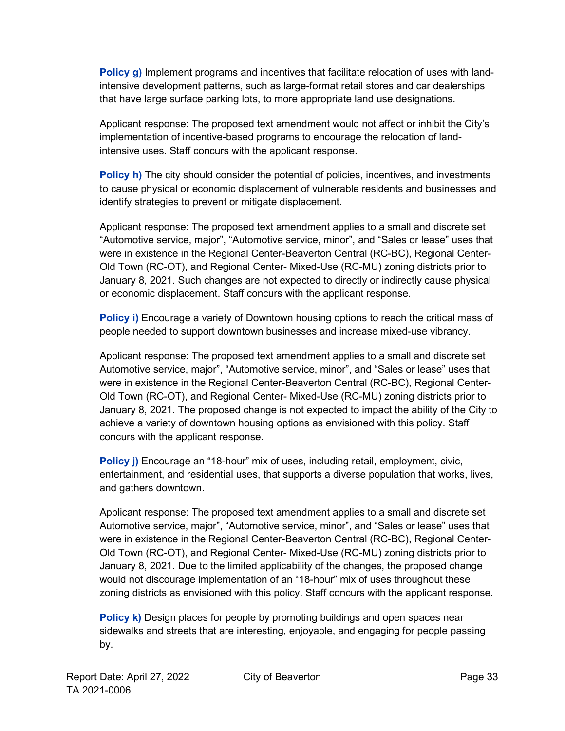**Policy g)** Implement programs and incentives that facilitate relocation of uses with landintensive development patterns, such as large-format retail stores and car dealerships that have large surface parking lots, to more appropriate land use designations.

Applicant response: The proposed text amendment would not affect or inhibit the City's implementation of incentive-based programs to encourage the relocation of landintensive uses. Staff concurs with the applicant response.

**Policy h)** The city should consider the potential of policies, incentives, and investments to cause physical or economic displacement of vulnerable residents and businesses and identify strategies to prevent or mitigate displacement.

Applicant response: The proposed text amendment applies to a small and discrete set "Automotive service, major", "Automotive service, minor", and "Sales or lease" uses that were in existence in the Regional Center-Beaverton Central (RC-BC), Regional Center-Old Town (RC-OT), and Regional Center- Mixed-Use (RC-MU) zoning districts prior to January 8, 2021. Such changes are not expected to directly or indirectly cause physical or economic displacement. Staff concurs with the applicant response.

**Policy i)** Encourage a variety of Downtown housing options to reach the critical mass of people needed to support downtown businesses and increase mixed-use vibrancy.

Applicant response: The proposed text amendment applies to a small and discrete set Automotive service, major", "Automotive service, minor", and "Sales or lease" uses that were in existence in the Regional Center-Beaverton Central (RC-BC), Regional Center-Old Town (RC-OT), and Regional Center- Mixed-Use (RC-MU) zoning districts prior to January 8, 2021. The proposed change is not expected to impact the ability of the City to achieve a variety of downtown housing options as envisioned with this policy. Staff concurs with the applicant response.

**Policy j)** Encourage an "18-hour" mix of uses, including retail, employment, civic, entertainment, and residential uses, that supports a diverse population that works, lives, and gathers downtown.

Applicant response: The proposed text amendment applies to a small and discrete set Automotive service, major", "Automotive service, minor", and "Sales or lease" uses that were in existence in the Regional Center-Beaverton Central (RC-BC), Regional Center-Old Town (RC-OT), and Regional Center- Mixed-Use (RC-MU) zoning districts prior to January 8, 2021. Due to the limited applicability of the changes, the proposed change would not discourage implementation of an "18-hour" mix of uses throughout these zoning districts as envisioned with this policy. Staff concurs with the applicant response.

**Policy k)** Design places for people by promoting buildings and open spaces near sidewalks and streets that are interesting, enjoyable, and engaging for people passing by.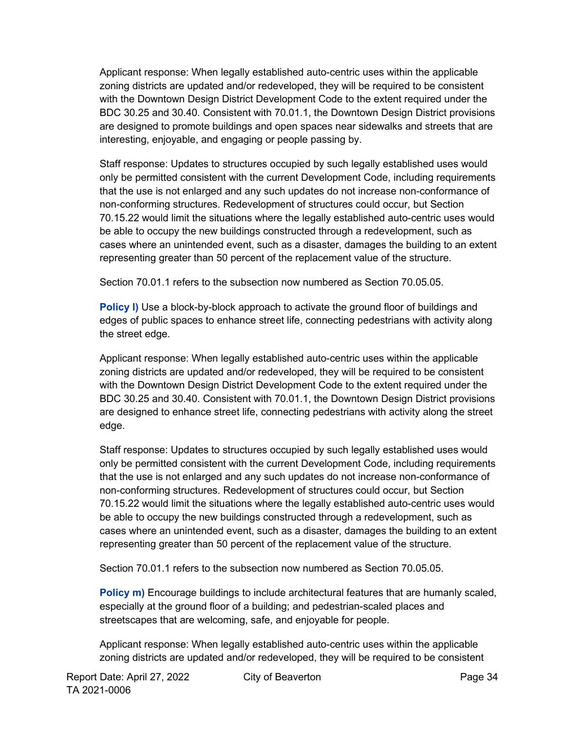Applicant response: When legally established auto-centric uses within the applicable zoning districts are updated and/or redeveloped, they will be required to be consistent with the Downtown Design District Development Code to the extent required under the BDC 30.25 and 30.40. Consistent with 70.01.1, the Downtown Design District provisions are designed to promote buildings and open spaces near sidewalks and streets that are interesting, enjoyable, and engaging or people passing by.

Staff response: Updates to structures occupied by such legally established uses would only be permitted consistent with the current Development Code, including requirements that the use is not enlarged and any such updates do not increase non-conformance of non-conforming structures. Redevelopment of structures could occur, but Section 70.15.22 would limit the situations where the legally established auto-centric uses would be able to occupy the new buildings constructed through a redevelopment, such as cases where an unintended event, such as a disaster, damages the building to an extent representing greater than 50 percent of the replacement value of the structure.

Section 70.01.1 refers to the subsection now numbered as Section 70.05.05.

**Policy I)** Use a block-by-block approach to activate the ground floor of buildings and edges of public spaces to enhance street life, connecting pedestrians with activity along the street edge.

Applicant response: When legally established auto-centric uses within the applicable zoning districts are updated and/or redeveloped, they will be required to be consistent with the Downtown Design District Development Code to the extent required under the BDC 30.25 and 30.40. Consistent with 70.01.1, the Downtown Design District provisions are designed to enhance street life, connecting pedestrians with activity along the street edge.

Staff response: Updates to structures occupied by such legally established uses would only be permitted consistent with the current Development Code, including requirements that the use is not enlarged and any such updates do not increase non-conformance of non-conforming structures. Redevelopment of structures could occur, but Section 70.15.22 would limit the situations where the legally established auto-centric uses would be able to occupy the new buildings constructed through a redevelopment, such as cases where an unintended event, such as a disaster, damages the building to an extent representing greater than 50 percent of the replacement value of the structure.

Section 70.01.1 refers to the subsection now numbered as Section 70.05.05.

**Policy m)** Encourage buildings to include architectural features that are humanly scaled, especially at the ground floor of a building; and pedestrian-scaled places and streetscapes that are welcoming, safe, and enjoyable for people.

Applicant response: When legally established auto-centric uses within the applicable zoning districts are updated and/or redeveloped, they will be required to be consistent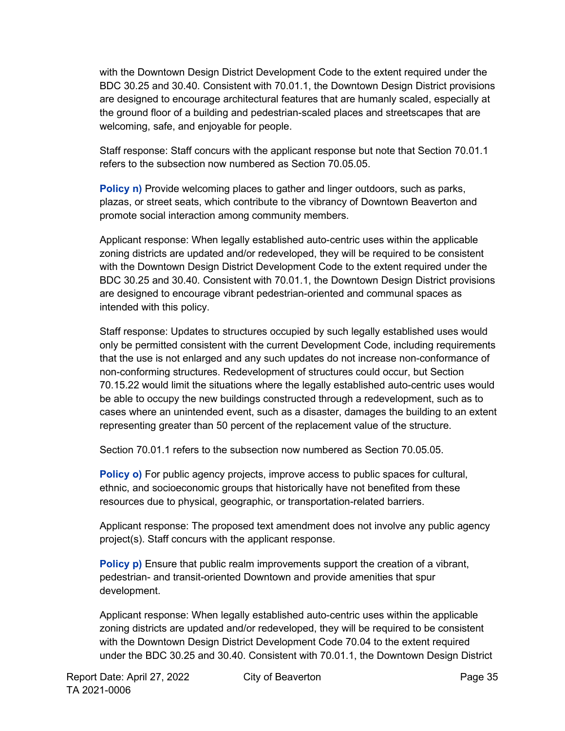with the Downtown Design District Development Code to the extent required under the BDC 30.25 and 30.40. Consistent with 70.01.1, the Downtown Design District provisions are designed to encourage architectural features that are humanly scaled, especially at the ground floor of a building and pedestrian-scaled places and streetscapes that are welcoming, safe, and enjoyable for people.

Staff response: Staff concurs with the applicant response but note that Section 70.01.1 refers to the subsection now numbered as Section 70.05.05.

**Policy n)** Provide welcoming places to gather and linger outdoors, such as parks, plazas, or street seats, which contribute to the vibrancy of Downtown Beaverton and promote social interaction among community members.

Applicant response: When legally established auto-centric uses within the applicable zoning districts are updated and/or redeveloped, they will be required to be consistent with the Downtown Design District Development Code to the extent required under the BDC 30.25 and 30.40. Consistent with 70.01.1, the Downtown Design District provisions are designed to encourage vibrant pedestrian-oriented and communal spaces as intended with this policy.

Staff response: Updates to structures occupied by such legally established uses would only be permitted consistent with the current Development Code, including requirements that the use is not enlarged and any such updates do not increase non-conformance of non-conforming structures. Redevelopment of structures could occur, but Section 70.15.22 would limit the situations where the legally established auto-centric uses would be able to occupy the new buildings constructed through a redevelopment, such as to cases where an unintended event, such as a disaster, damages the building to an extent representing greater than 50 percent of the replacement value of the structure.

Section 70.01.1 refers to the subsection now numbered as Section 70.05.05.

**Policy o)** For public agency projects, improve access to public spaces for cultural, ethnic, and socioeconomic groups that historically have not benefited from these resources due to physical, geographic, or transportation-related barriers.

Applicant response: The proposed text amendment does not involve any public agency project(s). Staff concurs with the applicant response.

**Policy p)** Ensure that public realm improvements support the creation of a vibrant, pedestrian- and transit-oriented Downtown and provide amenities that spur development.

Applicant response: When legally established auto-centric uses within the applicable zoning districts are updated and/or redeveloped, they will be required to be consistent with the Downtown Design District Development Code 70.04 to the extent required under the BDC 30.25 and 30.40. Consistent with 70.01.1, the Downtown Design District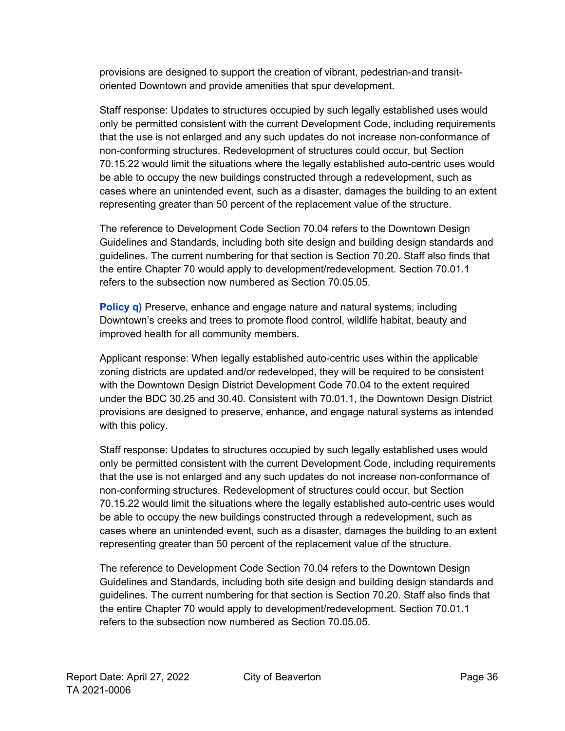provisions are designed to support the creation of vibrant, pedestrian-and transitoriented Downtown and provide amenities that spur development.

Staff response: Updates to structures occupied by such legally established uses would only be permitted consistent with the current Development Code, including requirements that the use is not enlarged and any such updates do not increase non-conformance of non-conforming structures. Redevelopment of structures could occur, but Section 70.15.22 would limit the situations where the legally established auto-centric uses would be able to occupy the new buildings constructed through a redevelopment, such as cases where an unintended event, such as a disaster, damages the building to an extent representing greater than 50 percent of the replacement value of the structure.

The reference to Development Code Section 70.04 refers to the Downtown Design Guidelines and Standards, including both site design and building design standards and guidelines. The current numbering for that section is Section 70.20. Staff also finds that the entire Chapter 70 would apply to development/redevelopment. Section 70.01.1 refers to the subsection now numbered as Section 70.05.05.

**Policy q)** Preserve, enhance and engage nature and natural systems, including Downtown's creeks and trees to promote flood control, wildlife habitat, beauty and improved health for all community members.

Applicant response: When legally established auto-centric uses within the applicable zoning districts are updated and/or redeveloped, they will be required to be consistent with the Downtown Design District Development Code 70.04 to the extent required under the BDC 30.25 and 30.40. Consistent with 70.01.1, the Downtown Design District provisions are designed to preserve, enhance, and engage natural systems as intended with this policy.

Staff response: Updates to structures occupied by such legally established uses would only be permitted consistent with the current Development Code, including requirements that the use is not enlarged and any such updates do not increase non-conformance of non-conforming structures. Redevelopment of structures could occur, but Section 70.15.22 would limit the situations where the legally established auto-centric uses would be able to occupy the new buildings constructed through a redevelopment, such as cases where an unintended event, such as a disaster, damages the building to an extent representing greater than 50 percent of the replacement value of the structure.

The reference to Development Code Section 70.04 refers to the Downtown Design Guidelines and Standards, including both site design and building design standards and guidelines. The current numbering for that section is Section 70.20. Staff also finds that the entire Chapter 70 would apply to development/redevelopment. Section 70.01.1 refers to the subsection now numbered as Section 70.05.05.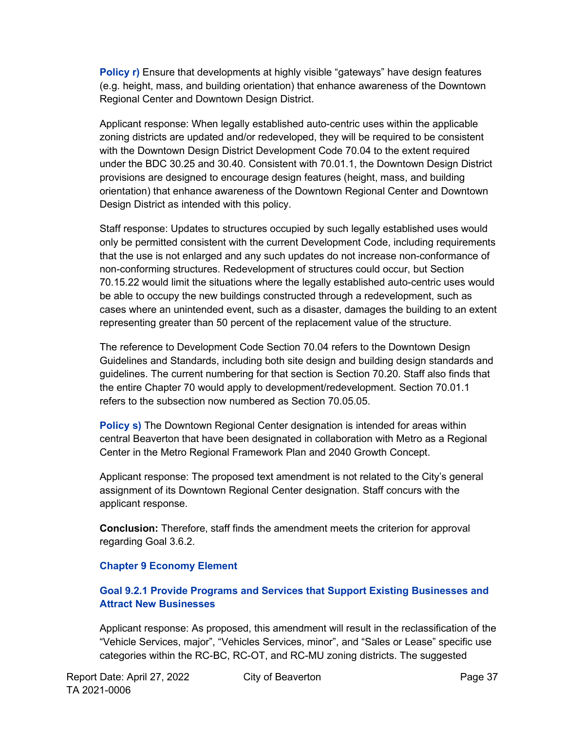**Policy r)** Ensure that developments at highly visible "gateways" have design features (e.g. height, mass, and building orientation) that enhance awareness of the Downtown Regional Center and Downtown Design District.

Applicant response: When legally established auto-centric uses within the applicable zoning districts are updated and/or redeveloped, they will be required to be consistent with the Downtown Design District Development Code 70.04 to the extent required under the BDC 30.25 and 30.40. Consistent with 70.01.1, the Downtown Design District provisions are designed to encourage design features (height, mass, and building orientation) that enhance awareness of the Downtown Regional Center and Downtown Design District as intended with this policy.

Staff response: Updates to structures occupied by such legally established uses would only be permitted consistent with the current Development Code, including requirements that the use is not enlarged and any such updates do not increase non-conformance of non-conforming structures. Redevelopment of structures could occur, but Section 70.15.22 would limit the situations where the legally established auto-centric uses would be able to occupy the new buildings constructed through a redevelopment, such as cases where an unintended event, such as a disaster, damages the building to an extent representing greater than 50 percent of the replacement value of the structure.

The reference to Development Code Section 70.04 refers to the Downtown Design Guidelines and Standards, including both site design and building design standards and guidelines. The current numbering for that section is Section 70.20. Staff also finds that the entire Chapter 70 would apply to development/redevelopment. Section 70.01.1 refers to the subsection now numbered as Section 70.05.05.

**Policy s)** The Downtown Regional Center designation is intended for areas within central Beaverton that have been designated in collaboration with Metro as a Regional Center in the Metro Regional Framework Plan and 2040 Growth Concept.

Applicant response: The proposed text amendment is not related to the City's general assignment of its Downtown Regional Center designation. Staff concurs with the applicant response.

**Conclusion:** Therefore, staff finds the amendment meets the criterion for approval regarding Goal 3.6.2.

#### **Chapter 9 Economy Element**

#### **Goal 9.2.1 Provide Programs and Services that Support Existing Businesses and Attract New Businesses**

Applicant response: As proposed, this amendment will result in the reclassification of the "Vehicle Services, major", "Vehicles Services, minor", and "Sales or Lease" specific use categories within the RC-BC, RC-OT, and RC-MU zoning districts. The suggested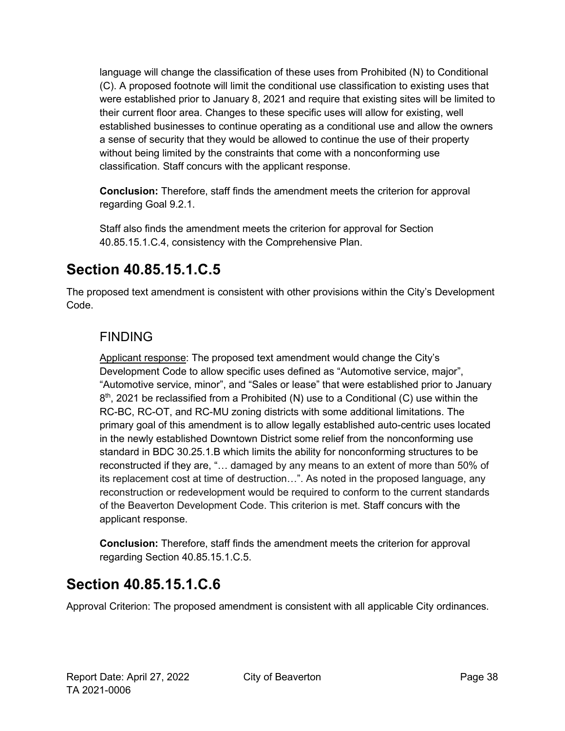language will change the classification of these uses from Prohibited (N) to Conditional (C). A proposed footnote will limit the conditional use classification to existing uses that were established prior to January 8, 2021 and require that existing sites will be limited to their current floor area. Changes to these specific uses will allow for existing, well established businesses to continue operating as a conditional use and allow the owners a sense of security that they would be allowed to continue the use of their property without being limited by the constraints that come with a nonconforming use classification. Staff concurs with the applicant response.

**Conclusion:** Therefore, staff finds the amendment meets the criterion for approval regarding Goal 9.2.1.

Staff also finds the amendment meets the criterion for approval for Section 40.85.15.1.C.4, consistency with the Comprehensive Plan.

# <span id="page-37-0"></span>**Section 40.85.15.1.C.5**

The proposed text amendment is consistent with other provisions within the City's Development Code.

### FINDING

Applicant response: The proposed text amendment would change the City's Development Code to allow specific uses defined as "Automotive service, major", "Automotive service, minor", and "Sales or lease" that were established prior to January  $8<sup>th</sup>$ , 2021 be reclassified from a Prohibited (N) use to a Conditional (C) use within the RC-BC, RC-OT, and RC-MU zoning districts with some additional limitations. The primary goal of this amendment is to allow legally established auto-centric uses located in the newly established Downtown District some relief from the nonconforming use standard in BDC 30.25.1.B which limits the ability for nonconforming structures to be reconstructed if they are, "… damaged by any means to an extent of more than 50% of its replacement cost at time of destruction…". As noted in the proposed language, any reconstruction or redevelopment would be required to conform to the current standards of the Beaverton Development Code. This criterion is met. Staff concurs with the applicant response.

**Conclusion:** Therefore, staff finds the amendment meets the criterion for approval regarding Section 40.85.15.1.C.5.

## <span id="page-37-1"></span>**Section 40.85.15.1.C.6**

Approval Criterion: The proposed amendment is consistent with all applicable City ordinances.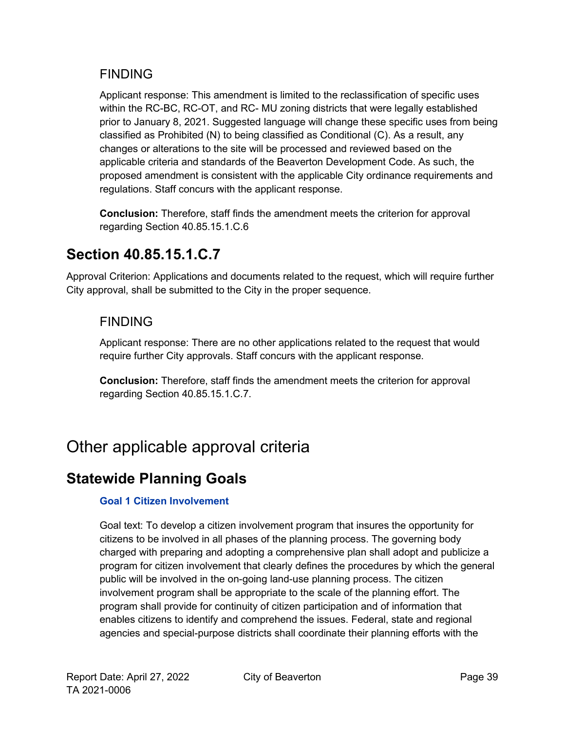### FINDING

Applicant response: This amendment is limited to the reclassification of specific uses within the RC-BC, RC-OT, and RC- MU zoning districts that were legally established prior to January 8, 2021. Suggested language will change these specific uses from being classified as Prohibited (N) to being classified as Conditional (C). As a result, any changes or alterations to the site will be processed and reviewed based on the applicable criteria and standards of the Beaverton Development Code. As such, the proposed amendment is consistent with the applicable City ordinance requirements and regulations. Staff concurs with the applicant response.

**Conclusion:** Therefore, staff finds the amendment meets the criterion for approval regarding Section 40.85.15.1.C.6

## <span id="page-38-0"></span>**Section 40.85.15.1.C.7**

Approval Criterion: Applications and documents related to the request, which will require further City approval, shall be submitted to the City in the proper sequence.

### FINDING

Applicant response: There are no other applications related to the request that would require further City approvals. Staff concurs with the applicant response.

**Conclusion:** Therefore, staff finds the amendment meets the criterion for approval regarding Section 40.85.15.1.C.7.

# <span id="page-38-1"></span>Other applicable approval criteria

## <span id="page-38-2"></span>**Statewide Planning Goals**

#### **Goal 1 Citizen Involvement**

Goal text: To develop a citizen involvement program that insures the opportunity for citizens to be involved in all phases of the planning process. The governing body charged with preparing and adopting a comprehensive plan shall adopt and publicize a program for citizen involvement that clearly defines the procedures by which the general public will be involved in the on-going land-use planning process. The citizen involvement program shall be appropriate to the scale of the planning effort. The program shall provide for continuity of citizen participation and of information that enables citizens to identify and comprehend the issues. Federal, state and regional agencies and special-purpose districts shall coordinate their planning efforts with the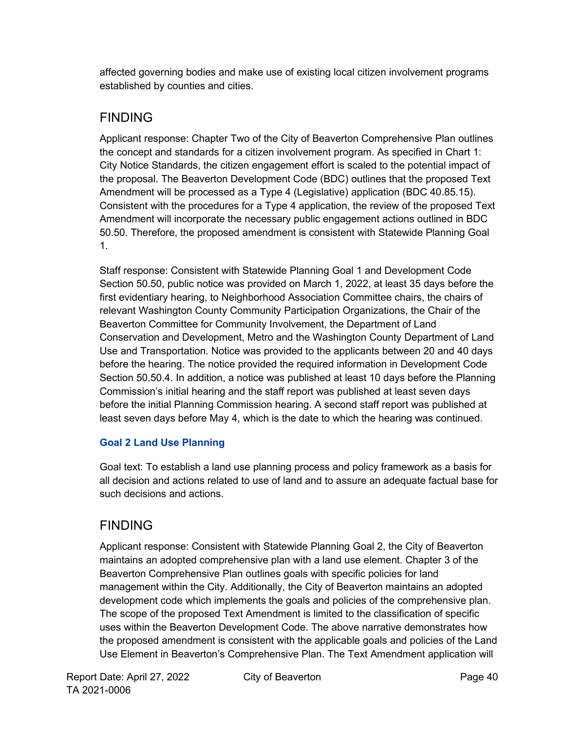affected governing bodies and make use of existing local citizen involvement programs established by counties and cities.

### FINDING

Applicant response: Chapter Two of the City of Beaverton Comprehensive Plan outlines the concept and standards for a citizen involvement program. As specified in Chart 1: City Notice Standards, the citizen engagement effort is scaled to the potential impact of the proposal. The Beaverton Development Code (BDC) outlines that the proposed Text Amendment will be processed as a Type 4 (Legislative) application (BDC 40.85.15). Consistent with the procedures for a Type 4 application, the review of the proposed Text Amendment will incorporate the necessary public engagement actions outlined in BDC 50.50. Therefore, the proposed amendment is consistent with Statewide Planning Goal 1.

Staff response: Consistent with Statewide Planning Goal 1 and Development Code Section 50.50, public notice was provided on March 1, 2022, at least 35 days before the first evidentiary hearing, to Neighborhood Association Committee chairs, the chairs of relevant Washington County Community Participation Organizations, the Chair of the Beaverton Committee for Community Involvement, the Department of Land Conservation and Development, Metro and the Washington County Department of Land Use and Transportation. Notice was provided to the applicants between 20 and 40 days before the hearing. The notice provided the required information in Development Code Section 50.50.4. In addition, a notice was published at least 10 days before the Planning Commission's initial hearing and the staff report was published at least seven days before the initial Planning Commission hearing. A second staff report was published at least seven days before May 4, which is the date to which the hearing was continued.

#### **Goal 2 Land Use Planning**

Goal text: To establish a land use planning process and policy framework as a basis for all decision and actions related to use of land and to assure an adequate factual base for such decisions and actions.

### FINDING

Applicant response: Consistent with Statewide Planning Goal 2, the City of Beaverton maintains an adopted comprehensive plan with a land use element. Chapter 3 of the Beaverton Comprehensive Plan outlines goals with specific policies for land management within the City. Additionally, the City of Beaverton maintains an adopted development code which implements the goals and policies of the comprehensive plan. The scope of the proposed Text Amendment is limited to the classification of specific uses within the Beaverton Development Code. The above narrative demonstrates how the proposed amendment is consistent with the applicable goals and policies of the Land Use Element in Beaverton's Comprehensive Plan. The Text Amendment application will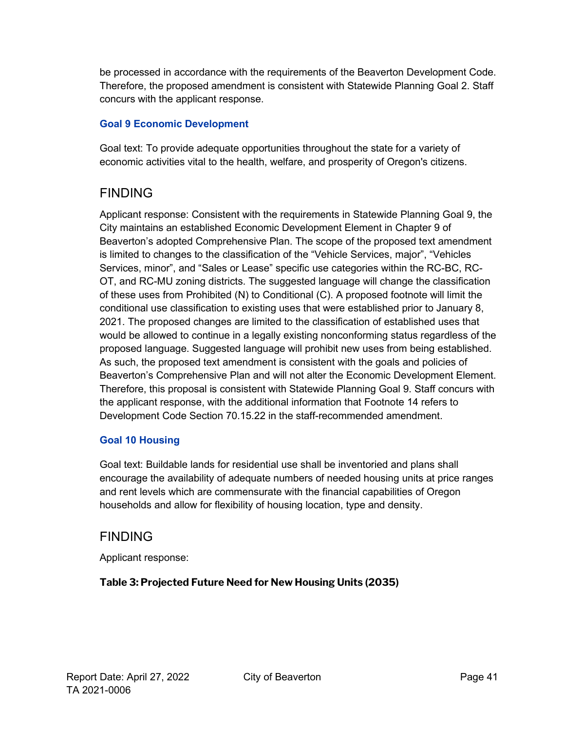be processed in accordance with the requirements of the Beaverton Development Code. Therefore, the proposed amendment is consistent with Statewide Planning Goal 2. Staff concurs with the applicant response.

#### **Goal 9 Economic Development**

Goal text: To provide adequate opportunities throughout the state for a variety of economic activities vital to the health, welfare, and prosperity of Oregon's citizens.

### FINDING

Applicant response: Consistent with the requirements in Statewide Planning Goal 9, the City maintains an established Economic Development Element in Chapter 9 of Beaverton's adopted Comprehensive Plan. The scope of the proposed text amendment is limited to changes to the classification of the "Vehicle Services, major", "Vehicles Services, minor", and "Sales or Lease" specific use categories within the RC-BC, RC-OT, and RC-MU zoning districts. The suggested language will change the classification of these uses from Prohibited (N) to Conditional (C). A proposed footnote will limit the conditional use classification to existing uses that were established prior to January 8, 2021. The proposed changes are limited to the classification of established uses that would be allowed to continue in a legally existing nonconforming status regardless of the proposed language. Suggested language will prohibit new uses from being established. As such, the proposed text amendment is consistent with the goals and policies of Beaverton's Comprehensive Plan and will not alter the Economic Development Element. Therefore, this proposal is consistent with Statewide Planning Goal 9. Staff concurs with the applicant response, with the additional information that Footnote 14 refers to Development Code Section 70.15.22 in the staff-recommended amendment.

#### **Goal 10 Housing**

Goal text: Buildable lands for residential use shall be inventoried and plans shall encourage the availability of adequate numbers of needed housing units at price ranges and rent levels which are commensurate with the financial capabilities of Oregon households and allow for flexibility of housing location, type and density.

### FINDING

Applicant response:

#### **Table 3: Projected Future Need for New Housing Units (2035)**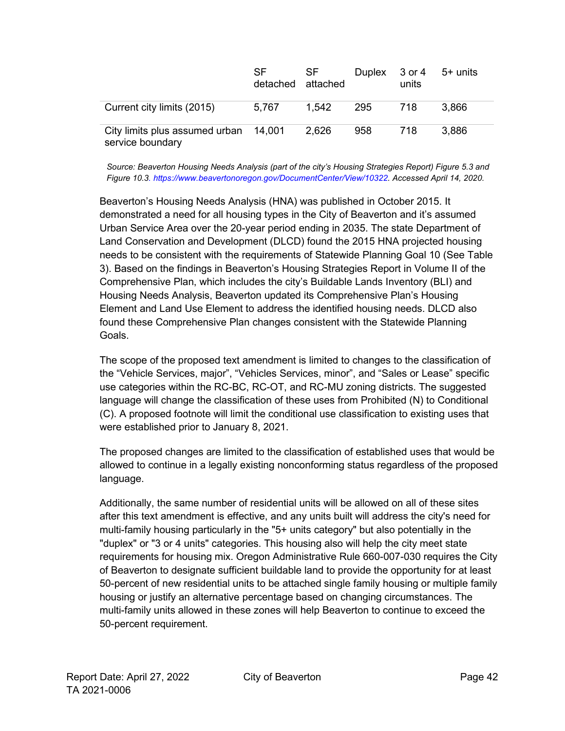|                                                           | SF.<br>detached attached | SF.   |     | Duplex 3 or 4<br>units | 5+ units |
|-----------------------------------------------------------|--------------------------|-------|-----|------------------------|----------|
| Current city limits (2015)                                | 5,767                    | 1,542 | 295 | 718                    | 3,866    |
| City limits plus assumed urban 14,001<br>service boundary |                          | 2,626 | 958 | 718                    | 3,886    |

*Source: Beaverton Housing Needs Analysis (part of the city's Housing Strategies Report) Figure 5.3 and Figure 10.[3.](https://www.beavertonoregon.gov/DocumentCenter/View/10322) [https://www.beavertonoregon.gov/DocumentCenter/View/10322. A](https://www.beavertonoregon.gov/DocumentCenter/View/10322)ccessed April 14, 2020.*

Beaverton's Housing Needs Analysis (HNA) was published in October 2015. It demonstrated a need for all housing types in the City of Beaverton and it's assumed Urban Service Area over the 20-year period ending in 2035. The state Department of Land Conservation and Development (DLCD) found the 2015 HNA projected housing needs to be consistent with the requirements of Statewide Planning Goal 10 (See Table 3). Based on the findings in Beaverton's Housing Strategies Report in Volume II of the Comprehensive Plan, which includes the city's Buildable Lands Inventory (BLI) and Housing Needs Analysis, Beaverton updated its Comprehensive Plan's Housing Element and Land Use Element to address the identified housing needs. DLCD also found these Comprehensive Plan changes consistent with the Statewide Planning Goals.

The scope of the proposed text amendment is limited to changes to the classification of the "Vehicle Services, major", "Vehicles Services, minor", and "Sales or Lease" specific use categories within the RC-BC, RC-OT, and RC-MU zoning districts. The suggested language will change the classification of these uses from Prohibited (N) to Conditional (C). A proposed footnote will limit the conditional use classification to existing uses that were established prior to January 8, 2021.

The proposed changes are limited to the classification of established uses that would be allowed to continue in a legally existing nonconforming status regardless of the proposed language.

Additionally, the same number of residential units will be allowed on all of these sites after this text amendment is effective, and any units built will address the city's need for multi-family housing particularly in the "5+ units category" but also potentially in the "duplex" or "3 or 4 units" categories. This housing also will help the city meet state requirements for housing mix. Oregon Administrative Rule 660-007-030 requires the City of Beaverton to designate sufficient buildable land to provide the opportunity for at least 50-percent of new residential units to be attached single family housing or multiple family housing or justify an alternative percentage based on changing circumstances. The multi-family units allowed in these zones will help Beaverton to continue to exceed the 50-percent requirement.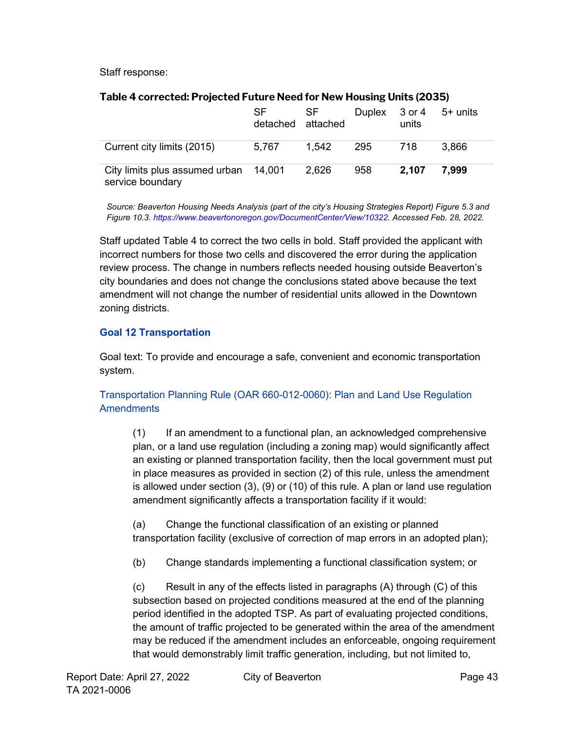Staff response:

|                                                           | <b>SF</b><br>detached attached | SF.   | Duplex 3 or 4 | units | 5+ units |
|-----------------------------------------------------------|--------------------------------|-------|---------------|-------|----------|
| Current city limits (2015)                                | 5.767                          | 1.542 | -295          | 718   | 3.866    |
| City limits plus assumed urban 14,001<br>service boundary |                                | 2,626 | 958           | 2,107 | 7.999    |

#### **Table 4 corrected: Projected Future Need for New Housing Units (2035)**

*Source: Beaverton Housing Needs Analysis (part of the city's Housing Strategies Report) Figure 5.3 and Figure 10.[3.](https://www.beavertonoregon.gov/DocumentCenter/View/10322) [https://www.beavertonoregon.gov/DocumentCenter/View/10322. A](https://www.beavertonoregon.gov/DocumentCenter/View/10322)ccessed Feb. 28, 2022.*

Staff updated Table 4 to correct the two cells in bold. Staff provided the applicant with incorrect numbers for those two cells and discovered the error during the application review process. The change in numbers reflects needed housing outside Beaverton's city boundaries and does not change the conclusions stated above because the text amendment will not change the number of residential units allowed in the Downtown zoning districts.

#### **Goal 12 Transportation**

Goal text: To provide and encourage a safe, convenient and economic transportation system.

#### Transportation Planning Rule (OAR 660-012-0060): Plan and Land Use Regulation **Amendments**

(1) If an amendment to a functional plan, an acknowledged comprehensive plan, or a land use regulation (including a zoning map) would significantly affect an existing or planned transportation facility, then the local government must put in place measures as provided in section (2) of this rule, unless the amendment is allowed under section (3), (9) or (10) of this rule. A plan or land use regulation amendment significantly affects a transportation facility if it would:

(a) Change the functional classification of an existing or planned transportation facility (exclusive of correction of map errors in an adopted plan);

(b) Change standards implementing a functional classification system; or

 $(c)$  Result in any of the effects listed in paragraphs  $(A)$  through  $(C)$  of this subsection based on projected conditions measured at the end of the planning period identified in the adopted TSP. As part of evaluating projected conditions, the amount of traffic projected to be generated within the area of the amendment may be reduced if the amendment includes an enforceable, ongoing requirement that would demonstrably limit traffic generation, including, but not limited to,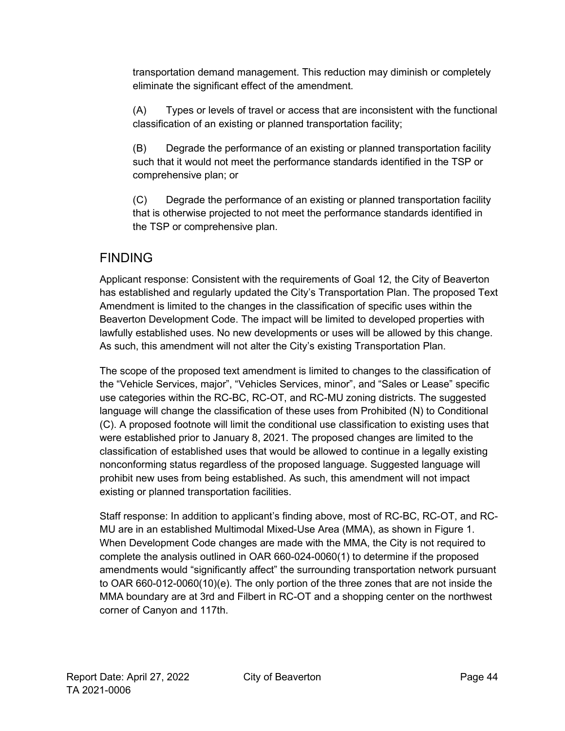transportation demand management. This reduction may diminish or completely eliminate the significant effect of the amendment.

(A) Types or levels of travel or access that are inconsistent with the functional classification of an existing or planned transportation facility;

(B) Degrade the performance of an existing or planned transportation facility such that it would not meet the performance standards identified in the TSP or comprehensive plan; or

(C) Degrade the performance of an existing or planned transportation facility that is otherwise projected to not meet the performance standards identified in the TSP or comprehensive plan.

### FINDING

Applicant response: Consistent with the requirements of Goal 12, the City of Beaverton has established and regularly updated the City's Transportation Plan. The proposed Text Amendment is limited to the changes in the classification of specific uses within the Beaverton Development Code. The impact will be limited to developed properties with lawfully established uses. No new developments or uses will be allowed by this change. As such, this amendment will not alter the City's existing Transportation Plan.

The scope of the proposed text amendment is limited to changes to the classification of the "Vehicle Services, major", "Vehicles Services, minor", and "Sales or Lease" specific use categories within the RC-BC, RC-OT, and RC-MU zoning districts. The suggested language will change the classification of these uses from Prohibited (N) to Conditional (C). A proposed footnote will limit the conditional use classification to existing uses that were established prior to January 8, 2021. The proposed changes are limited to the classification of established uses that would be allowed to continue in a legally existing nonconforming status regardless of the proposed language. Suggested language will prohibit new uses from being established. As such, this amendment will not impact existing or planned transportation facilities.

Staff response: In addition to applicant's finding above, most of RC-BC, RC-OT, and RC-MU are in an established Multimodal Mixed-Use Area (MMA), as shown in Figure 1. When Development Code changes are made with the MMA, the City is not required to complete the analysis outlined in OAR 660-024-0060(1) to determine if the proposed amendments would "significantly affect" the surrounding transportation network pursuant to OAR 660-012-0060(10)(e). The only portion of the three zones that are not inside the MMA boundary are at 3rd and Filbert in RC-OT and a shopping center on the northwest corner of Canyon and 117th.